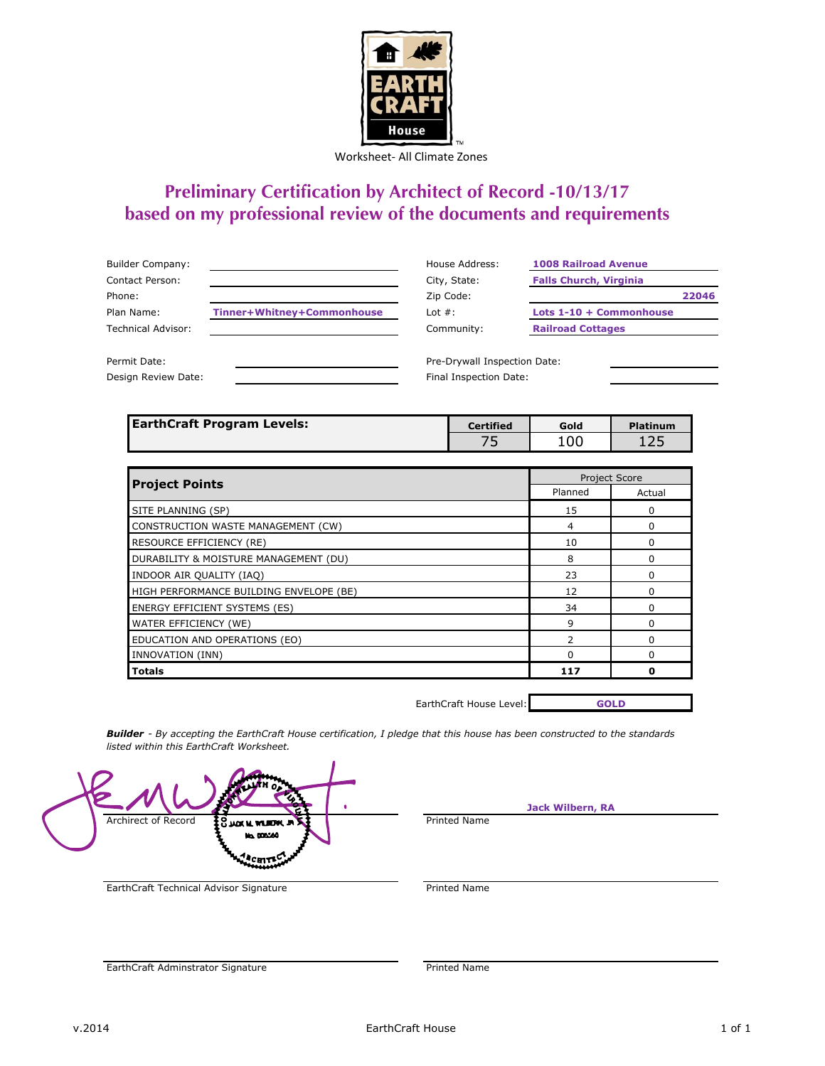

Worksheet- All Climate Zones

## **Preliminary Certification by Architect of Record -10/13/17 based on my professional review of the documents and requirements**

| <b>Builder Company:</b> |                            | House Address:               | <b>1008 Railroad Avenue</b>   |
|-------------------------|----------------------------|------------------------------|-------------------------------|
| Contact Person:         |                            | City, State:                 | <b>Falls Church, Virginia</b> |
| Phone:                  |                            | Zip Code:                    | 22046                         |
| Plan Name:              | Tinner+Whitney+Commonhouse | Lot $#$ :                    | Lots 1-10 + Commonhouse       |
| Technical Advisor:      |                            | Community:                   | <b>Railroad Cottages</b>      |
|                         |                            |                              |                               |
| Permit Date:            |                            | Pre-Drywall Inspection Date: |                               |
| Design Review Date:     |                            | Final Inspection Date:       |                               |

| <b>EarthCraft Program Levels:</b> | <b>Certified</b> | Gold | <b>Platinum</b> |
|-----------------------------------|------------------|------|-----------------|
|                                   |                  | 100  | ᆂᅎᅳ             |

| <b>Project Points</b>                   |          | <b>Project Score</b> |
|-----------------------------------------|----------|----------------------|
|                                         | Planned  | Actual               |
| SITE PLANNING (SP)                      | 15       | O                    |
| CONSTRUCTION WASTE MANAGEMENT (CW)      | 4        |                      |
| RESOURCE EFFICIENCY (RE)                | 10       | ŋ                    |
| DURABILITY & MOISTURE MANAGEMENT (DU)   | 8        | n                    |
| INDOOR AIR QUALITY (IAQ)                | 23       | O                    |
| HIGH PERFORMANCE BUILDING ENVELOPE (BE) | 12       |                      |
| <b>ENERGY EFFICIENT SYSTEMS (ES)</b>    | 34       |                      |
| WATER EFFICIENCY (WE)                   | q        | U                    |
| EDUCATION AND OPERATIONS (EO)           |          |                      |
| INNOVATION (INN)                        | $\Omega$ |                      |
| <b>Totals</b>                           | 117      | ŋ                    |

EarthCraft House Level:

**GOLD**

*Builder - By accepting the EarthCraft House certification, I pledge that this house has been constructed to the standards listed within this EarthCraft Worksheet.*

Archirect of Record  $\frac{20}{3}$  was a with  $\frac{1}{2}$  and  $\frac{1}{2}$  and  $\frac{1}{2}$  and  $\frac{1}{2}$  and  $\frac{1}{2}$  and  $\frac{1}{2}$  and  $\frac{1}{2}$  and  $\frac{1}{2}$  and  $\frac{1}{2}$  and  $\frac{1}{2}$  and  $\frac{1}{2}$  and  $\frac{1}{2}$  and  $\frac{1}{2}$  a **Ms. 005560 CHITS** 

**Jack Wilbern, RA**

EarthCraft Technical Advisor Signature **Printed Name** 

EarthCraft Adminstrator Signature **Printed Name**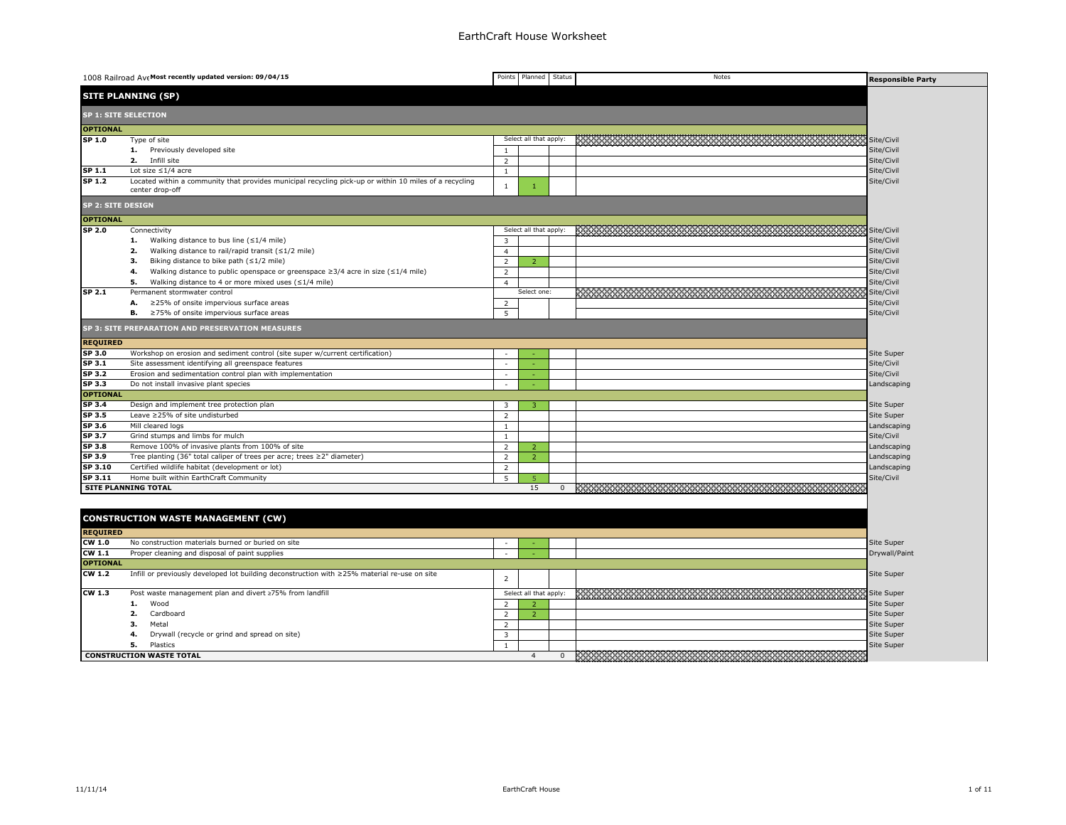|                   | 1008 Railroad Ave Most recently updated version: 09/04/15                                                                 |                          | Points Planned         | Status         | Notes                                                                                                                | <b>Responsible Party</b> |
|-------------------|---------------------------------------------------------------------------------------------------------------------------|--------------------------|------------------------|----------------|----------------------------------------------------------------------------------------------------------------------|--------------------------|
|                   | <b>SITE PLANNING (SP)</b>                                                                                                 |                          |                        |                |                                                                                                                      |                          |
|                   | <b>SP 1: SITE SELECTION</b>                                                                                               |                          |                        |                |                                                                                                                      |                          |
| <b>OPTIONAL</b>   |                                                                                                                           |                          |                        |                |                                                                                                                      |                          |
| SP 1.0            | Type of site                                                                                                              |                          | Select all that apply: |                |                                                                                                                      | Site/Civil               |
|                   | 1. Previously developed site                                                                                              | $\mathbf{1}$             |                        |                |                                                                                                                      | Site/Civil               |
|                   | 2.<br>Infill site                                                                                                         | 2                        |                        |                |                                                                                                                      | Site/Civil               |
| SP 1.1            | Lot size $\leq 1/4$ acre                                                                                                  | $1\,$                    |                        |                |                                                                                                                      | Site/Civil               |
| SP 1.2            | Located within a community that provides municipal recycling pick-up or within 10 miles of a recycling<br>center drop-off | $\mathbf{1}$             |                        |                |                                                                                                                      | Site/Civil               |
| SP 2: SITE DESIGN |                                                                                                                           |                          |                        |                |                                                                                                                      |                          |
| <b>OPTIONAL</b>   |                                                                                                                           |                          |                        |                |                                                                                                                      |                          |
| SP 2.0            | Connectivity                                                                                                              |                          | Select all that apply: |                | <u> 1999 - 1999 - 1999 - 1999 - 1999 - 1999 - 1999 - 1999 - 1999 - 1999 - 1999 - 1999 - 1999 - 1999 - 1999 - 199</u> | Site/Civil               |
|                   | Walking distance to bus line $(\leq 1/4$ mile)<br>1.                                                                      | 3                        |                        |                |                                                                                                                      | Site/Civil               |
|                   | 2.<br>Walking distance to rail/rapid transit $($ $\leq$ 1/2 mile)                                                         | $\overline{4}$           |                        |                |                                                                                                                      | Site/Civil               |
|                   | Biking distance to bike path $(\leq 1/2$ mile)<br>з.                                                                      | 2                        | $\overline{z}$         |                |                                                                                                                      | Site/Civil               |
|                   | 4.<br>Walking distance to public openspace or greenspace $\geq$ 3/4 acre in size ( $\leq$ 1/4 mile)                       | $\overline{2}$           |                        |                |                                                                                                                      | Site/Civil               |
|                   | 5.<br>Walking distance to 4 or more mixed uses $(\leq 1/4$ mile)                                                          | $\overline{4}$           |                        |                |                                                                                                                      | Site/Civil               |
| SP 2.1            | Permanent stormwater control                                                                                              |                          | Select one             |                |                                                                                                                      | Site/Civil               |
|                   | ≥25% of onsite impervious surface areas<br>А.                                                                             | 2                        |                        |                |                                                                                                                      | Site/Civil               |
|                   | ≥75% of onsite impervious surface areas<br>в.                                                                             | 5                        |                        |                |                                                                                                                      | Site/Civil               |
|                   | SP 3: SITE PREPARATION AND PRESERVATION MEASURES                                                                          |                          |                        |                |                                                                                                                      |                          |
| <b>REQUIRED</b>   |                                                                                                                           |                          |                        |                |                                                                                                                      |                          |
| SP 3.0            | Workshop on erosion and sediment control (site super w/current certification)                                             | $\overline{\phantom{a}}$ |                        |                |                                                                                                                      | <b>Site Super</b>        |
| SP 3.1            | Site assessment identifying all greenspace features                                                                       | $\sim$                   |                        |                |                                                                                                                      | Site/Civil               |
| SP <sub>3.2</sub> | Erosion and sedimentation control plan with implementation                                                                | $\sim$                   |                        |                |                                                                                                                      | Site/Civil               |
| SP 3.3            | Do not install invasive plant species                                                                                     | ÷.                       |                        |                |                                                                                                                      | Landscaping              |
| <b>OPTIONAL</b>   |                                                                                                                           |                          |                        |                |                                                                                                                      |                          |
| SP 3.4            | Design and implement tree protection plan                                                                                 | $\overline{\mathbf{3}}$  | 3                      |                |                                                                                                                      | Site Super               |
| SP 3.5            | Leave ≥25% of site undisturbed                                                                                            | $\overline{2}$           |                        |                |                                                                                                                      | Site Super               |
| SP 3.6            | Mill cleared logs                                                                                                         | -1                       |                        |                |                                                                                                                      | Landscaping              |
| SP 3.7            | Grind stumps and limbs for mulch                                                                                          | $\,$ 1 $\,$              |                        |                |                                                                                                                      | Site/Civil               |
| SP 3.8            | Remove 100% of invasive plants from 100% of site                                                                          | 2                        | $\overline{2}$         |                |                                                                                                                      | Landscaping              |
| SP 3.9            | Tree planting (36" total caliper of trees per acre; trees $\geq$ 2" diameter)                                             | 2                        | $\overline{z}$         |                |                                                                                                                      | Landscaping              |
| SP 3.10           | Certified wildlife habitat (development or lot)                                                                           | 2                        |                        |                |                                                                                                                      | Landscaping              |
| SP 3.11           | Home built within EarthCraft Community                                                                                    | 5                        | -5                     |                |                                                                                                                      | Site/Civil               |
|                   | <b>SITE PLANNING TOTAL</b>                                                                                                |                          | 15                     | 0              |                                                                                                                      |                          |
|                   |                                                                                                                           |                          |                        |                |                                                                                                                      |                          |
|                   | <b>CONSTRUCTION WASTE MANAGEMENT (CW)</b>                                                                                 |                          |                        |                |                                                                                                                      |                          |
| <b>REQUIRED</b>   |                                                                                                                           |                          |                        |                |                                                                                                                      |                          |
| CW 1.0            | No construction materials burned or buried on site                                                                        | i.                       |                        |                |                                                                                                                      | Site Super               |
| $CW$ 1.1          | Proper cleaning and disposal of paint supplies                                                                            | $\sim$                   |                        |                |                                                                                                                      | Drywall/Paint            |
| <b>OPTIONAL</b>   |                                                                                                                           |                          |                        |                |                                                                                                                      |                          |
| <b>CW 1.2</b>     | Infill or previously developed lot building deconstruction with ≥25% material re-use on site                              |                          |                        |                |                                                                                                                      | Site Super               |
|                   |                                                                                                                           | $\overline{2}$           |                        |                |                                                                                                                      |                          |
| CW 1.3            | Post waste management plan and divert ≥75% from landfill                                                                  |                          | Select all that apply: |                | ister som staden som staden som staden som staden som staden som side super                                          |                          |
|                   | Wood<br>1.                                                                                                                | 2                        |                        |                |                                                                                                                      | Site Super               |
|                   | Cardboard<br>2.                                                                                                           | $\overline{z}$           | $\overline{2}$         |                |                                                                                                                      | Site Super               |
|                   | з.<br>Metal                                                                                                               | 2                        |                        |                |                                                                                                                      | Site Super               |
|                   | Drywall (recycle or grind and spread on site)<br>4.                                                                       | $\overline{\mathbf{3}}$  |                        |                |                                                                                                                      | Site Super               |
|                   | 5.<br>Plastics                                                                                                            | $\mathbf{1}$             |                        |                |                                                                                                                      | Site Super               |
|                   | <b>CONSTRUCTION WASTE TOTAL</b>                                                                                           |                          | $\overline{4}$         | $\overline{0}$ |                                                                                                                      |                          |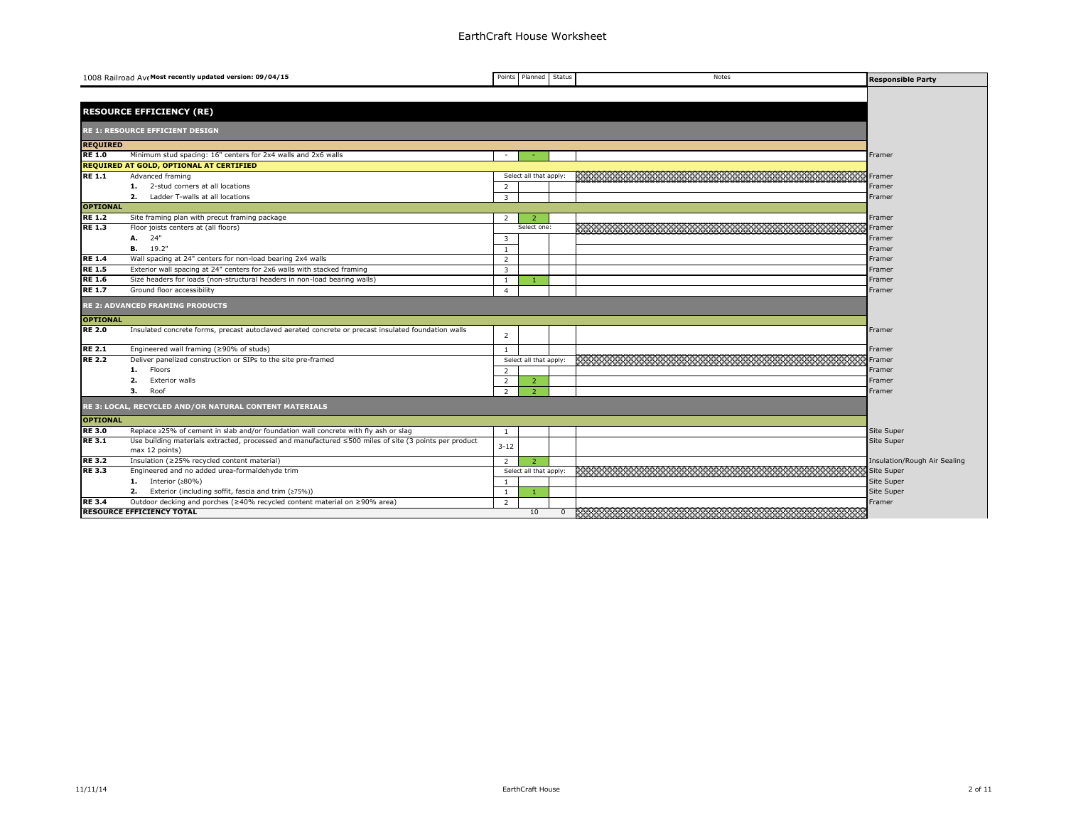|                 | 1008 Railroad Ave Most recently updated version: 09/04/15                                                               |                | Points Planned         | <b>Status</b> | Notes                                                          | <b>Responsible Party</b>     |
|-----------------|-------------------------------------------------------------------------------------------------------------------------|----------------|------------------------|---------------|----------------------------------------------------------------|------------------------------|
|                 |                                                                                                                         |                |                        |               |                                                                |                              |
|                 | <b>RESOURCE EFFICIENCY (RE)</b>                                                                                         |                |                        |               |                                                                |                              |
|                 |                                                                                                                         |                |                        |               |                                                                |                              |
|                 | <b>RE 1: RESOURCE EFFICIENT DESIGN</b>                                                                                  |                |                        |               |                                                                |                              |
| <b>REQUIRED</b> |                                                                                                                         |                |                        |               |                                                                |                              |
| <b>RE 1.0</b>   | Minimum stud spacing: 16" centers for 2x4 walls and 2x6 walls                                                           | $\sim$         | $\sim$                 |               |                                                                | Framer                       |
|                 | <b>REQUIRED AT GOLD, OPTIONAL AT CERTIFIED</b>                                                                          |                |                        |               |                                                                |                              |
| <b>RE 1.1</b>   | Advanced framing                                                                                                        |                | Select all that apply: |               |                                                                | Framer                       |
|                 | 1. 2-stud corners at all locations                                                                                      | 2              |                        |               |                                                                | Framer                       |
|                 | Ladder T-walls at all locations<br>2.                                                                                   | 3              |                        |               |                                                                | Framer                       |
| <b>OPTIONAL</b> |                                                                                                                         |                |                        |               |                                                                |                              |
| <b>RE 1.2</b>   | Site framing plan with precut framing package                                                                           | $\mathcal{L}$  |                        |               |                                                                | Framer                       |
| <b>RE 1.3</b>   | Floor joists centers at (all floors)                                                                                    |                | Select one:            |               | 5333333333 <u>33333333333333</u>                               | Framer                       |
|                 | A. 24"                                                                                                                  | 3              |                        |               |                                                                | Framer                       |
|                 | <b>B.</b> 19.2"                                                                                                         | $\overline{1}$ |                        |               |                                                                | Framer                       |
| <b>RE 1.4</b>   | Wall spacing at 24" centers for non-load bearing 2x4 walls                                                              | $\overline{2}$ |                        |               |                                                                | Framer                       |
| <b>RE 1.5</b>   | Exterior wall spacing at 24" centers for 2x6 walls with stacked framing                                                 | $\overline{3}$ |                        |               |                                                                | Framer                       |
| <b>RE 1.6</b>   | Size headers for loads (non-structural headers in non-load bearing walls)                                               | <sup>1</sup>   |                        |               |                                                                | Framer                       |
| <b>RE 1.7</b>   | Ground floor accessibility                                                                                              | $\overline{4}$ |                        |               |                                                                | Framer                       |
|                 | <b>RE 2: ADVANCED FRAMING PRODUCTS</b>                                                                                  |                |                        |               |                                                                |                              |
| <b>OPTIONAL</b> |                                                                                                                         |                |                        |               |                                                                |                              |
| <b>RE 2.0</b>   | Insulated concrete forms, precast autoclaved aerated concrete or precast insulated foundation walls                     | 2              |                        |               |                                                                | Framer                       |
| <b>RE 2.1</b>   | Engineered wall framing (≥90% of studs)                                                                                 | $\overline{1}$ |                        |               |                                                                | Framer                       |
| <b>RE 2.2</b>   | Deliver panelized construction or SIPs to the site pre-framed                                                           |                | Select all that apply: |               |                                                                | Framer                       |
|                 | Floors<br>1.                                                                                                            | $\overline{2}$ |                        |               |                                                                | Framer                       |
|                 | 2.<br><b>Exterior walls</b>                                                                                             | 2              | $\overline{2}$         |               |                                                                | Framer                       |
|                 | Roof<br>з.                                                                                                              | 2              | $\overline{2}$         |               |                                                                | Framer                       |
|                 | RE 3: LOCAL, RECYCLED AND/OR NATURAL CONTENT MATERIALS                                                                  |                |                        |               |                                                                |                              |
| <b>OPTIONAL</b> |                                                                                                                         |                |                        |               |                                                                |                              |
| <b>RE3.0</b>    | Replace ≥25% of cement in slab and/or foundation wall concrete with fly ash or slag                                     | -1             |                        |               |                                                                | Site Super                   |
| <b>RE3.1</b>    | Use building materials extracted, processed and manufactured ≤500 miles of site (3 points per product<br>max 12 points) | $3 - 12$       |                        |               |                                                                | Site Super                   |
| <b>RE 3.2</b>   | Insulation (≥25% recycled content material)                                                                             | 2              | -2                     |               |                                                                | Insulation/Rough Air Sealing |
| <b>RE3.3</b>    | Engineered and no added urea-formaldehyde trim                                                                          |                | Select all that apply: |               |                                                                | Site Super                   |
|                 | 1. Interior $(280\%)$                                                                                                   | $\mathbf{1}$   |                        |               |                                                                | Site Super                   |
|                 | Exterior (including soffit, fascia and trim (≥75%))<br>2.                                                               | $\mathbf{1}$   |                        |               |                                                                | Site Super                   |
| <b>RE 3.4</b>   | Outdoor decking and porches (≥40% recycled content material on ≥90% area)                                               | $\overline{2}$ |                        |               |                                                                | Framer                       |
|                 | <b>RESOURCE EFFICIENCY TOTAL</b>                                                                                        |                | 10                     | $\mathbf{0}$  | <u> 1999 - Jan Barnett, mars ann an Carlotte, ann an 1998.</u> |                              |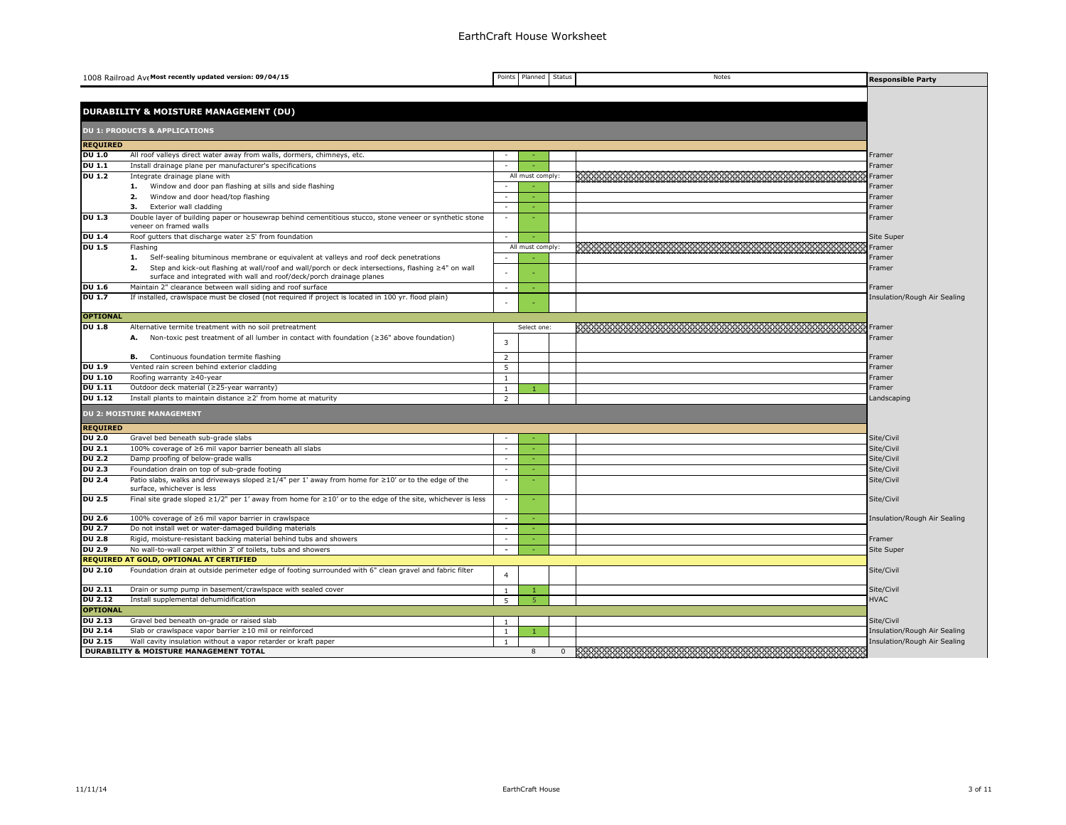| <b>DURABILITY &amp; MOISTURE MANAGEMENT (DU)</b><br><b>DU 1: PRODUCTS &amp; APPLICATIONS</b><br><b>REQUIRED</b><br><b>DU 1.0</b><br>All roof valleys direct water away from walls, dormers, chimneys, etc.<br>Framer<br><b>DU 1.1</b><br>Install drainage plane per manufacturer's specifications<br>Framer<br><b>DU 1.2</b><br>Integrate drainage plane with<br>All must comply:<br>Framer<br>Window and door pan flashing at sills and side flashing<br>1.<br>Framer<br>Window and door head/top flashing<br>2.<br>Framer<br>- 1<br>Exterior wall cladding<br>з.<br>$\overline{\phantom{a}}$<br>Framer<br><b>DU 1.3</b><br>Double layer of building paper or housewrap behind cementitious stucco, stone veneer or synthetic stone<br>n.<br>Framer<br>veneer on framed walls<br><b>DU 1.4</b><br>Roof gutters that discharge water ≥5' from foundation<br>Site Super<br><b>DU 1.5</b><br>Flashing<br>All must comply:<br>Framer<br>1.<br>Self-sealing bituminous membrane or equivalent at valleys and roof deck penetrations<br>Framer<br>Step and kick-out flashing at wall/roof and wall/porch or deck intersections, flashing ≥4" on wall<br>2.<br>Framer<br>surface and integrated with wall and roof/deck/porch drainage planes<br><b>DU 1.6</b><br>Maintain 2" clearance between wall siding and roof surface<br>$\sim$<br>Framer<br>$\sim$ | <b>Responsible Party</b> |
|------------------------------------------------------------------------------------------------------------------------------------------------------------------------------------------------------------------------------------------------------------------------------------------------------------------------------------------------------------------------------------------------------------------------------------------------------------------------------------------------------------------------------------------------------------------------------------------------------------------------------------------------------------------------------------------------------------------------------------------------------------------------------------------------------------------------------------------------------------------------------------------------------------------------------------------------------------------------------------------------------------------------------------------------------------------------------------------------------------------------------------------------------------------------------------------------------------------------------------------------------------------------------------------------------------------------------------------------------|--------------------------|
|                                                                                                                                                                                                                                                                                                                                                                                                                                                                                                                                                                                                                                                                                                                                                                                                                                                                                                                                                                                                                                                                                                                                                                                                                                                                                                                                                      |                          |
|                                                                                                                                                                                                                                                                                                                                                                                                                                                                                                                                                                                                                                                                                                                                                                                                                                                                                                                                                                                                                                                                                                                                                                                                                                                                                                                                                      |                          |
|                                                                                                                                                                                                                                                                                                                                                                                                                                                                                                                                                                                                                                                                                                                                                                                                                                                                                                                                                                                                                                                                                                                                                                                                                                                                                                                                                      |                          |
|                                                                                                                                                                                                                                                                                                                                                                                                                                                                                                                                                                                                                                                                                                                                                                                                                                                                                                                                                                                                                                                                                                                                                                                                                                                                                                                                                      |                          |
|                                                                                                                                                                                                                                                                                                                                                                                                                                                                                                                                                                                                                                                                                                                                                                                                                                                                                                                                                                                                                                                                                                                                                                                                                                                                                                                                                      |                          |
|                                                                                                                                                                                                                                                                                                                                                                                                                                                                                                                                                                                                                                                                                                                                                                                                                                                                                                                                                                                                                                                                                                                                                                                                                                                                                                                                                      |                          |
|                                                                                                                                                                                                                                                                                                                                                                                                                                                                                                                                                                                                                                                                                                                                                                                                                                                                                                                                                                                                                                                                                                                                                                                                                                                                                                                                                      |                          |
|                                                                                                                                                                                                                                                                                                                                                                                                                                                                                                                                                                                                                                                                                                                                                                                                                                                                                                                                                                                                                                                                                                                                                                                                                                                                                                                                                      |                          |
|                                                                                                                                                                                                                                                                                                                                                                                                                                                                                                                                                                                                                                                                                                                                                                                                                                                                                                                                                                                                                                                                                                                                                                                                                                                                                                                                                      |                          |
|                                                                                                                                                                                                                                                                                                                                                                                                                                                                                                                                                                                                                                                                                                                                                                                                                                                                                                                                                                                                                                                                                                                                                                                                                                                                                                                                                      |                          |
|                                                                                                                                                                                                                                                                                                                                                                                                                                                                                                                                                                                                                                                                                                                                                                                                                                                                                                                                                                                                                                                                                                                                                                                                                                                                                                                                                      |                          |
|                                                                                                                                                                                                                                                                                                                                                                                                                                                                                                                                                                                                                                                                                                                                                                                                                                                                                                                                                                                                                                                                                                                                                                                                                                                                                                                                                      |                          |
|                                                                                                                                                                                                                                                                                                                                                                                                                                                                                                                                                                                                                                                                                                                                                                                                                                                                                                                                                                                                                                                                                                                                                                                                                                                                                                                                                      |                          |
|                                                                                                                                                                                                                                                                                                                                                                                                                                                                                                                                                                                                                                                                                                                                                                                                                                                                                                                                                                                                                                                                                                                                                                                                                                                                                                                                                      |                          |
|                                                                                                                                                                                                                                                                                                                                                                                                                                                                                                                                                                                                                                                                                                                                                                                                                                                                                                                                                                                                                                                                                                                                                                                                                                                                                                                                                      |                          |
|                                                                                                                                                                                                                                                                                                                                                                                                                                                                                                                                                                                                                                                                                                                                                                                                                                                                                                                                                                                                                                                                                                                                                                                                                                                                                                                                                      |                          |
|                                                                                                                                                                                                                                                                                                                                                                                                                                                                                                                                                                                                                                                                                                                                                                                                                                                                                                                                                                                                                                                                                                                                                                                                                                                                                                                                                      |                          |
| <b>DU 1.7</b><br>If installed, crawlspace must be closed (not required if project is located in 100 yr. flood plain)<br>Insulation/Rough Air Sealing                                                                                                                                                                                                                                                                                                                                                                                                                                                                                                                                                                                                                                                                                                                                                                                                                                                                                                                                                                                                                                                                                                                                                                                                 |                          |
|                                                                                                                                                                                                                                                                                                                                                                                                                                                                                                                                                                                                                                                                                                                                                                                                                                                                                                                                                                                                                                                                                                                                                                                                                                                                                                                                                      |                          |
| <b>OPTIONAL</b>                                                                                                                                                                                                                                                                                                                                                                                                                                                                                                                                                                                                                                                                                                                                                                                                                                                                                                                                                                                                                                                                                                                                                                                                                                                                                                                                      |                          |
| <b>DU 1.8</b><br>Select one:<br>Alternative termite treatment with no soil pretreatment<br>Framer                                                                                                                                                                                                                                                                                                                                                                                                                                                                                                                                                                                                                                                                                                                                                                                                                                                                                                                                                                                                                                                                                                                                                                                                                                                    |                          |
| Non-toxic pest treatment of all lumber in contact with foundation ( $\geq$ 36" above foundation)<br>Framer<br>А.<br>3                                                                                                                                                                                                                                                                                                                                                                                                                                                                                                                                                                                                                                                                                                                                                                                                                                                                                                                                                                                                                                                                                                                                                                                                                                |                          |
|                                                                                                                                                                                                                                                                                                                                                                                                                                                                                                                                                                                                                                                                                                                                                                                                                                                                                                                                                                                                                                                                                                                                                                                                                                                                                                                                                      |                          |
| Continuous foundation termite flashing<br>$\overline{2}$<br>в.<br>Framer                                                                                                                                                                                                                                                                                                                                                                                                                                                                                                                                                                                                                                                                                                                                                                                                                                                                                                                                                                                                                                                                                                                                                                                                                                                                             |                          |
| <b>DU 1.9</b><br>Vented rain screen behind exterior cladding<br>5<br>Framer                                                                                                                                                                                                                                                                                                                                                                                                                                                                                                                                                                                                                                                                                                                                                                                                                                                                                                                                                                                                                                                                                                                                                                                                                                                                          |                          |
| <b>DU 1.10</b><br>Roofing warranty ≥40-year<br>$\mathbf{1}$<br>Framer                                                                                                                                                                                                                                                                                                                                                                                                                                                                                                                                                                                                                                                                                                                                                                                                                                                                                                                                                                                                                                                                                                                                                                                                                                                                                |                          |
| <b>DU 1.11</b><br>Outdoor deck material (≥25-year warranty)<br>$\mathbf{1}$<br>Framer<br>$\overline{1}$<br><b>DU 1.12</b>                                                                                                                                                                                                                                                                                                                                                                                                                                                                                                                                                                                                                                                                                                                                                                                                                                                                                                                                                                                                                                                                                                                                                                                                                            |                          |
| Install plants to maintain distance ≥2' from home at maturity<br>2<br>Landscaping                                                                                                                                                                                                                                                                                                                                                                                                                                                                                                                                                                                                                                                                                                                                                                                                                                                                                                                                                                                                                                                                                                                                                                                                                                                                    |                          |
| <b>DU 2: MOISTURE MANAGEMENT</b>                                                                                                                                                                                                                                                                                                                                                                                                                                                                                                                                                                                                                                                                                                                                                                                                                                                                                                                                                                                                                                                                                                                                                                                                                                                                                                                     |                          |
| <b>REQUIRED</b>                                                                                                                                                                                                                                                                                                                                                                                                                                                                                                                                                                                                                                                                                                                                                                                                                                                                                                                                                                                                                                                                                                                                                                                                                                                                                                                                      |                          |
| <b>DU 2.0</b><br>Gravel bed beneath sub-grade slabs<br>Site/Civil                                                                                                                                                                                                                                                                                                                                                                                                                                                                                                                                                                                                                                                                                                                                                                                                                                                                                                                                                                                                                                                                                                                                                                                                                                                                                    |                          |
| <b>DU 2.1</b><br>100% coverage of ≥6 mil vapor barrier beneath all slabs<br>$\sim$<br>Site/Civil                                                                                                                                                                                                                                                                                                                                                                                                                                                                                                                                                                                                                                                                                                                                                                                                                                                                                                                                                                                                                                                                                                                                                                                                                                                     |                          |
| <b>DU 2.2</b><br>Damp proofing of below-grade walls<br>$\sim$<br>na.<br>Site/Civil                                                                                                                                                                                                                                                                                                                                                                                                                                                                                                                                                                                                                                                                                                                                                                                                                                                                                                                                                                                                                                                                                                                                                                                                                                                                   |                          |
| <b>DU 2.3</b><br>Foundation drain on top of sub-grade footing<br>Site/Civil<br>$\overline{\phantom{a}}$                                                                                                                                                                                                                                                                                                                                                                                                                                                                                                                                                                                                                                                                                                                                                                                                                                                                                                                                                                                                                                                                                                                                                                                                                                              |                          |
| <b>DU 2.4</b><br>Patio slabs, walks and driveways sloped $\geq 1/4$ " per 1' away from home for $\geq 10$ ' or to the edge of the<br>$\sim$<br>Site/Civil<br>surface, whichever is less                                                                                                                                                                                                                                                                                                                                                                                                                                                                                                                                                                                                                                                                                                                                                                                                                                                                                                                                                                                                                                                                                                                                                              |                          |
| <b>DU 2.5</b><br>Final site grade sloped $\geq 1/2$ " per 1' away from home for $\geq 10'$ or to the edge of the site, whichever is less<br>$\overline{\phantom{a}}$<br>- 1<br>Site/Civil                                                                                                                                                                                                                                                                                                                                                                                                                                                                                                                                                                                                                                                                                                                                                                                                                                                                                                                                                                                                                                                                                                                                                            |                          |
| <b>DU 2.6</b><br>100% coverage of ≥6 mil vapor barrier in crawlspace<br>$\sim$<br>Insulation/Rough Air Sealing                                                                                                                                                                                                                                                                                                                                                                                                                                                                                                                                                                                                                                                                                                                                                                                                                                                                                                                                                                                                                                                                                                                                                                                                                                       |                          |
| <b>DU 2.7</b><br>Do not install wet or water-damaged building materials<br>$\sim$<br>na.                                                                                                                                                                                                                                                                                                                                                                                                                                                                                                                                                                                                                                                                                                                                                                                                                                                                                                                                                                                                                                                                                                                                                                                                                                                             |                          |
| <b>DU 2.8</b><br>Rigid, moisture-resistant backing material behind tubs and showers<br>Framer                                                                                                                                                                                                                                                                                                                                                                                                                                                                                                                                                                                                                                                                                                                                                                                                                                                                                                                                                                                                                                                                                                                                                                                                                                                        |                          |
| <b>DU 2.9</b><br>No wall-to-wall carpet within 3' of toilets, tubs and showers<br>$\overline{\phantom{a}}$<br>Site Super                                                                                                                                                                                                                                                                                                                                                                                                                                                                                                                                                                                                                                                                                                                                                                                                                                                                                                                                                                                                                                                                                                                                                                                                                             |                          |
| REQUIRED AT GOLD, OPTIONAL AT CERTIFIED                                                                                                                                                                                                                                                                                                                                                                                                                                                                                                                                                                                                                                                                                                                                                                                                                                                                                                                                                                                                                                                                                                                                                                                                                                                                                                              |                          |
| <b>DU 2.10</b><br>Foundation drain at outside perimeter edge of footing surrounded with 6" clean gravel and fabric filter<br>Site/Civil<br>$\overline{4}$                                                                                                                                                                                                                                                                                                                                                                                                                                                                                                                                                                                                                                                                                                                                                                                                                                                                                                                                                                                                                                                                                                                                                                                            |                          |
| <b>DU 2.11</b><br>Drain or sump pump in basement/crawlspace with sealed cover<br>Site/Civil<br>$\overline{1}$<br>$\mathbf{1}$                                                                                                                                                                                                                                                                                                                                                                                                                                                                                                                                                                                                                                                                                                                                                                                                                                                                                                                                                                                                                                                                                                                                                                                                                        |                          |
| <b>DU 2.12</b><br>Install supplemental dehumidification<br><b>HVAC</b><br>5<br>-5                                                                                                                                                                                                                                                                                                                                                                                                                                                                                                                                                                                                                                                                                                                                                                                                                                                                                                                                                                                                                                                                                                                                                                                                                                                                    |                          |
| <b>OPTIONAL</b>                                                                                                                                                                                                                                                                                                                                                                                                                                                                                                                                                                                                                                                                                                                                                                                                                                                                                                                                                                                                                                                                                                                                                                                                                                                                                                                                      |                          |
| <b>DU 2.13</b><br>Gravel bed beneath on-grade or raised slab<br>Site/Civil<br>$\overline{1}$                                                                                                                                                                                                                                                                                                                                                                                                                                                                                                                                                                                                                                                                                                                                                                                                                                                                                                                                                                                                                                                                                                                                                                                                                                                         |                          |
| <b>DU 2.14</b><br>Slab or crawlspace vapor barrier ≥10 mil or reinforced<br>$\mathbf{1}$<br>Insulation/Rough Air Sealing<br>$\mathbf{1}$<br><b>DU 2.15</b>                                                                                                                                                                                                                                                                                                                                                                                                                                                                                                                                                                                                                                                                                                                                                                                                                                                                                                                                                                                                                                                                                                                                                                                           |                          |
| Wall cavity insulation without a vapor retarder or kraft paper<br>Insulation/Rough Air Sealing<br>$\mathbf{1}$<br><b>DURABILITY &amp; MOISTURE MANAGEMENT TOTAL</b><br><u>Kata wa Tuzo ya Tuzo ya Tuzo ya Tuzo ya Tuzo ya Tuzo ya Tuzo ya Tuzo ya Tuzo ya Tuzo ya Tuzo ya Tuzo ya Tuzo y</u><br>8<br>$\overline{0}$                                                                                                                                                                                                                                                                                                                                                                                                                                                                                                                                                                                                                                                                                                                                                                                                                                                                                                                                                                                                                                  |                          |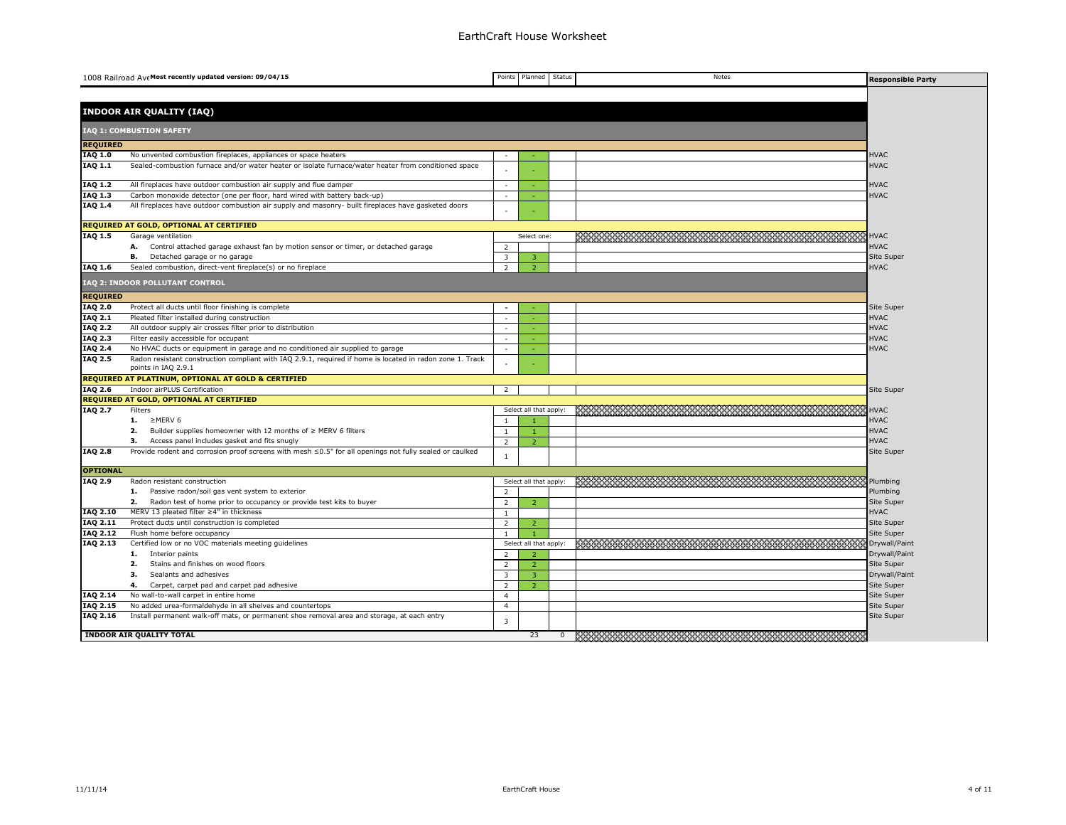|                      | 1008 Railroad Ave Most recently updated version: 09/04/15                                                                        | Points         | Planned                | Status         | Notes                                                                                                         | <b>Responsible Party</b> |
|----------------------|----------------------------------------------------------------------------------------------------------------------------------|----------------|------------------------|----------------|---------------------------------------------------------------------------------------------------------------|--------------------------|
|                      |                                                                                                                                  |                |                        |                |                                                                                                               |                          |
|                      | <b>INDOOR AIR QUALITY (IAQ)</b>                                                                                                  |                |                        |                |                                                                                                               |                          |
|                      |                                                                                                                                  |                |                        |                |                                                                                                               |                          |
|                      | IAQ 1: COMBUSTION SAFETY                                                                                                         |                |                        |                |                                                                                                               |                          |
| <b>REQUIRED</b>      |                                                                                                                                  |                |                        |                |                                                                                                               |                          |
| IAQ 1.0              | No unvented combustion fireplaces, appliances or space heaters                                                                   | $\sim$         |                        |                |                                                                                                               | <b>HVAC</b>              |
| IAQ 1.1              | Sealed-combustion furnace and/or water heater or isolate furnace/water heater from conditioned space                             |                |                        |                |                                                                                                               | <b>HVAC</b>              |
| IAQ 1.2              | All fireplaces have outdoor combustion air supply and flue damper                                                                | $\sim$         |                        |                |                                                                                                               | <b>HVAC</b>              |
| $IAQ$ $1.3$          | Carbon monoxide detector (one per floor, hard wired with battery back-up)                                                        | $\omega$       |                        |                |                                                                                                               | <b>HVAC</b>              |
| IAQ 1.4              | All fireplaces have outdoor combustion air supply and masonry- built fireplaces have gasketed doors                              |                |                        |                |                                                                                                               |                          |
|                      | REQUIRED AT GOLD, OPTIONAL AT CERTIFIED                                                                                          |                |                        |                |                                                                                                               |                          |
| IAQ 1.5              | Garage ventilation                                                                                                               |                | Select one:            |                |                                                                                                               | <b>HVAC</b>              |
|                      | Control attached garage exhaust fan by motion sensor or timer, or detached garage<br>А.                                          | 2              |                        |                |                                                                                                               | <b>HVAC</b>              |
|                      | Detached garage or no garage<br>в.                                                                                               | 3              | 3                      |                |                                                                                                               | Site Super               |
| IAQ 1.6              | Sealed combustion, direct-vent fireplace(s) or no fireplace                                                                      | 2              | $\overline{2}$         |                |                                                                                                               | <b>HVAC</b>              |
|                      | IAQ 2: INDOOR POLLUTANT CONTROL                                                                                                  |                |                        |                |                                                                                                               |                          |
| <b>REQUIRED</b>      |                                                                                                                                  |                |                        |                |                                                                                                               |                          |
| IAQ 2.0              | Protect all ducts until floor finishing is complete                                                                              | $\sim$         |                        |                |                                                                                                               | Site Super               |
| <b>IAQ 2.1</b>       | Pleated filter installed during construction                                                                                     | $\sim$         |                        |                |                                                                                                               | <b>HVAC</b>              |
| IAQ 2.2              | All outdoor supply air crosses filter prior to distribution                                                                      |                |                        |                |                                                                                                               | <b>HVAC</b>              |
| IAQ 2.3              | Filter easily accessible for occupant                                                                                            | $\sim$         |                        |                |                                                                                                               | <b>HVAC</b>              |
| <b>IAQ 2.4</b>       | No HVAC ducts or equipment in garage and no conditioned air supplied to garage                                                   | $\sim$         |                        |                |                                                                                                               | <b>HVAC</b>              |
| <b>IAQ 2.5</b>       | Radon resistant construction compliant with IAQ 2.9.1, required if home is located in radon zone 1. Track<br>points in IAQ 2.9.1 |                |                        |                |                                                                                                               |                          |
|                      | REQUIRED AT PLATINUM, OPTIONAL AT GOLD & CERTIFIED                                                                               |                |                        |                |                                                                                                               |                          |
| <b>IAQ 2.6</b>       | Indoor airPLUS Certification                                                                                                     | $\overline{2}$ |                        |                |                                                                                                               | Site Super               |
|                      | <b>REQUIRED AT GOLD, OPTIONAL AT CERTIFIED</b>                                                                                   |                |                        |                |                                                                                                               |                          |
| <b>IAQ 2.7</b>       | Filters                                                                                                                          |                | Select all that apply: |                | 2000 - 2000 - 2000 - 2000 - 2000 - 2000 - 2000 - 2000 - 2000 - 2000 - 2000 - 2000 - 2000 - 2000 - 2000 - 2000 | <b>HVAC</b>              |
|                      | 1. $\geq$ MERV 6                                                                                                                 | -1             |                        |                |                                                                                                               | <b>HVAC</b>              |
|                      | 2.<br>Builder supplies homeowner with 12 months of $\geq$ MERV 6 filters                                                         | $\mathbf{1}$   |                        |                |                                                                                                               | <b>HVAC</b>              |
|                      | з.<br>Access panel includes gasket and fits snugly                                                                               | $\overline{2}$ | $\overline{2}$         |                |                                                                                                               | <b>HVAC</b>              |
| IAQ 2.8              | Provide rodent and corrosion proof screens with mesh $\leq 0.5$ " for all openings not fully sealed or caulked                   | $\mathbf{1}$   |                        |                |                                                                                                               | Site Super               |
| <b>OPTIONAL</b>      |                                                                                                                                  |                |                        |                |                                                                                                               |                          |
| IAQ 2.9              | Radon resistant construction                                                                                                     |                | Select all that apply: |                |                                                                                                               | Plumbing                 |
|                      | 1. Passive radon/soil gas vent system to exterior                                                                                | 2              |                        |                |                                                                                                               | Plumbing                 |
|                      | 2.<br>Radon test of home prior to occupancy or provide test kits to buyer                                                        | 2              | $\overline{2}$         |                |                                                                                                               | Site Super               |
| IAQ 2.10             | MERV 13 pleated filter ≥4" in thickness                                                                                          | $\overline{1}$ |                        |                |                                                                                                               | <b>HVAC</b>              |
| IAQ 2.11             | Protect ducts until construction is completed                                                                                    | 2              | $\overline{2}$         |                |                                                                                                               | Site Super               |
| IAQ 2.12             | Flush home before occupancy                                                                                                      | -1             |                        |                |                                                                                                               | Site Super               |
| IAQ 2.13             | Certified low or no VOC materials meeting guidelines                                                                             |                | Select all that apply: |                |                                                                                                               | Drywall/Paint            |
|                      | Interior paints<br>1.                                                                                                            | 2              | $\overline{z}$         |                |                                                                                                               | Drywall/Paint            |
|                      | Stains and finishes on wood floors<br>2.                                                                                         | 2              | $\overline{2}$         |                |                                                                                                               | Site Super               |
|                      | Sealants and adhesives<br>з.                                                                                                     | 3              | $\overline{3}$         |                |                                                                                                               | Drywall/Paint            |
|                      | 4.<br>Carpet, carpet pad and carpet pad adhesive                                                                                 | 2              | $\overline{2}$         |                |                                                                                                               | Site Super               |
|                      | No wall-to-wall carpet in entire home                                                                                            | $\overline{4}$ |                        |                |                                                                                                               |                          |
| IAQ 2.14<br>IAQ 2.15 | No added urea-formaldehyde in all shelves and countertops                                                                        | 4              |                        |                |                                                                                                               | Site Super<br>Site Super |
| IAQ 2.16             | Install permanent walk-off mats, or permanent shoe removal area and storage, at each entry                                       |                |                        |                |                                                                                                               | Site Super               |
|                      |                                                                                                                                  | $\overline{3}$ |                        |                |                                                                                                               |                          |
|                      | <b>INDOOR AIR QUALITY TOTAL</b>                                                                                                  |                | 23                     | $\overline{0}$ |                                                                                                               |                          |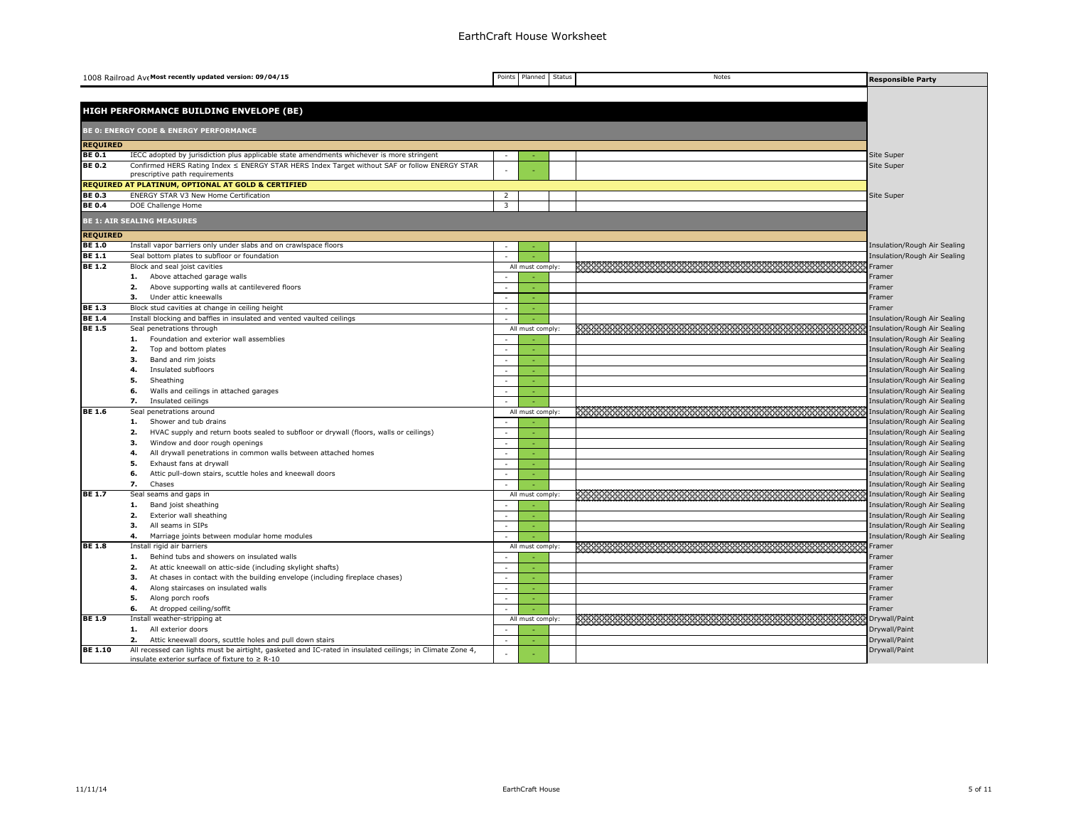|                                | 1008 Railroad Ave Most recently updated version: 09/04/15                                                 | Points                  | Planned          | Status | Notes                                                                                                                | <b>Responsible Party</b>                                     |
|--------------------------------|-----------------------------------------------------------------------------------------------------------|-------------------------|------------------|--------|----------------------------------------------------------------------------------------------------------------------|--------------------------------------------------------------|
|                                |                                                                                                           |                         |                  |        |                                                                                                                      |                                                              |
|                                | HIGH PERFORMANCE BUILDING ENVELOPE (BE)                                                                   |                         |                  |        |                                                                                                                      |                                                              |
|                                |                                                                                                           |                         |                  |        |                                                                                                                      |                                                              |
|                                | <b>BE 0: ENERGY CODE &amp; ENERGY PERFORMANCE</b>                                                         |                         |                  |        |                                                                                                                      |                                                              |
| <b>REQUIRED</b>                |                                                                                                           |                         |                  |        |                                                                                                                      |                                                              |
| <b>BE 0.1</b>                  | IECC adopted by jurisdiction plus applicable state amendments whichever is more stringent                 |                         |                  |        |                                                                                                                      | Site Super                                                   |
| <b>BE 0.2</b>                  | Confirmed HERS Rating Index ≤ ENERGY STAR HERS Index Target without SAF or follow ENERGY STAR             |                         |                  |        |                                                                                                                      | Site Super                                                   |
|                                | prescriptive path requirements<br><b>REQUIRED AT PLATINUM, OPTIONAL AT GOLD &amp; CERTIFIED</b>           |                         |                  |        |                                                                                                                      |                                                              |
| <b>BE 0.3</b>                  | ENERGY STAR V3 New Home Certification                                                                     | 2                       |                  |        |                                                                                                                      | Site Super                                                   |
| <b>BE0.4</b>                   | DOE Challenge Home                                                                                        | $\overline{\mathbf{3}}$ |                  |        |                                                                                                                      |                                                              |
|                                |                                                                                                           |                         |                  |        |                                                                                                                      |                                                              |
|                                | <b>BE 1: AIR SEALING MEASURES</b>                                                                         |                         |                  |        |                                                                                                                      |                                                              |
| <b>REQUIRED</b>                |                                                                                                           |                         |                  |        |                                                                                                                      |                                                              |
| <b>BE 1.0</b>                  | Install vapor barriers only under slabs and on crawlspace floors                                          | ÷,                      |                  |        |                                                                                                                      | Insulation/Rough Air Sealing                                 |
| <b>BE 1.1</b><br><b>BE 1.2</b> | Seal bottom plates to subfloor or foundation                                                              |                         |                  |        |                                                                                                                      | Insulation/Rough Air Sealing                                 |
|                                | Block and seal joist cavities                                                                             | $\sim$                  | All must comply: |        |                                                                                                                      | Framer                                                       |
|                                | Above attached garage walls<br>1.<br>Above supporting walls at cantilevered floors<br>2.                  | $\sim$                  |                  |        |                                                                                                                      | Framer<br>Framer                                             |
|                                | з.<br>Under attic kneewalls                                                                               | $\sim$                  | $\sim$           |        |                                                                                                                      | Framer                                                       |
| <b>BE 1.3</b>                  | Block stud cavities at change in ceiling height                                                           | ÷.                      |                  |        |                                                                                                                      | Framer                                                       |
| <b>BE 1.4</b>                  | Install blocking and baffles in insulated and vented vaulted ceilings                                     |                         |                  |        |                                                                                                                      | Insulation/Rough Air Sealing                                 |
| <b>BE 1.5</b>                  | Seal penetrations through                                                                                 |                         | All must comply: |        | <u> 1999 - Jan Barnett, mars film fan de ferfinning oer fan de ferfinning oer fan de ferfinning oer fan de ferfi</u> | Insulation/Rough Air Sealing                                 |
|                                | Foundation and exterior wall assemblies<br>1.                                                             |                         |                  |        |                                                                                                                      | Insulation/Rough Air Sealing                                 |
|                                | 2.<br>Top and bottom plates                                                                               | $\sim$                  |                  |        |                                                                                                                      | Insulation/Rough Air Sealing                                 |
|                                | 3.<br>Band and rim joists                                                                                 | $\sim$                  |                  |        |                                                                                                                      | Insulation/Rough Air Sealing                                 |
|                                | Insulated subfloors<br>4.                                                                                 |                         |                  |        |                                                                                                                      | Insulation/Rough Air Sealing                                 |
|                                | 5.<br>Sheathing                                                                                           | $\sim$                  | n.               |        |                                                                                                                      | Insulation/Rough Air Sealing                                 |
|                                | Walls and ceilings in attached garages<br>6.                                                              | $\sim$                  |                  |        |                                                                                                                      | Insulation/Rough Air Sealing                                 |
|                                | 7.<br>Insulated ceilings                                                                                  |                         |                  |        |                                                                                                                      | Insulation/Rough Air Sealing                                 |
| <b>BE 1.6</b>                  | Seal penetrations around                                                                                  |                         | All must comply: |        |                                                                                                                      | Insulation/Rough Air Sealing                                 |
|                                | Shower and tub drains<br>1.                                                                               |                         |                  |        |                                                                                                                      | Insulation/Rough Air Sealing                                 |
|                                | HVAC supply and return boots sealed to subfloor or drywall (floors, walls or ceilings)<br>2.              | ÷.                      |                  |        |                                                                                                                      | Insulation/Rough Air Sealing                                 |
|                                | 3.<br>Window and door rough openings<br>4.                                                                | $\sim$<br>$\sim$        | $\sim$           |        |                                                                                                                      | Insulation/Rough Air Sealing                                 |
|                                | All drywall penetrations in common walls between attached homes<br>5.<br>Exhaust fans at drywall          | $\sim$                  | $\sim$           |        |                                                                                                                      | Insulation/Rough Air Sealing<br>Insulation/Rough Air Sealing |
|                                | Attic pull-down stairs, scuttle holes and kneewall doors<br>6.                                            |                         |                  |        |                                                                                                                      | Insulation/Rough Air Sealing                                 |
|                                | 7.<br>Chases                                                                                              |                         |                  |        |                                                                                                                      | Insulation/Rough Air Sealing                                 |
| <b>BE 1.7</b>                  | Seal seams and gaps in                                                                                    |                         | All must comply: |        |                                                                                                                      | Insulation/Rough Air Sealing                                 |
|                                | Band joist sheathing<br>1.                                                                                |                         |                  |        |                                                                                                                      | Insulation/Rough Air Sealing                                 |
|                                | 2.<br>Exterior wall sheathing                                                                             | ÷.                      |                  |        |                                                                                                                      | Insulation/Rough Air Sealing                                 |
|                                | з.<br>All seams in SIPs                                                                                   | $\sim$                  | $\sim$           |        |                                                                                                                      | Insulation/Rough Air Sealing                                 |
|                                | Marriage joints between modular home modules<br>4.                                                        |                         |                  |        |                                                                                                                      | Insulation/Rough Air Sealing                                 |
| <b>BE 1.8</b>                  | Install rigid air barriers                                                                                |                         | All must comply: |        |                                                                                                                      | Framer                                                       |
|                                | Behind tubs and showers on insulated walls<br>1.                                                          |                         |                  |        |                                                                                                                      | Framer                                                       |
|                                | At attic kneewall on attic-side (including skylight shafts)<br>2.                                         | $\sim$                  |                  |        |                                                                                                                      | Framer                                                       |
|                                | At chases in contact with the building envelope (including fireplace chases)<br>з.                        | $\sim$                  | $\sim$           |        |                                                                                                                      | Framer                                                       |
|                                | Along staircases on insulated walls<br>4.                                                                 | $\sim$                  |                  |        |                                                                                                                      | Framer                                                       |
|                                | Along porch roofs<br>5.                                                                                   | $\sim$                  |                  |        |                                                                                                                      | Framer                                                       |
|                                | 6.<br>At dropped ceiling/soffit                                                                           | $\sim$                  |                  |        |                                                                                                                      | Framer                                                       |
| <b>BE 1.9</b>                  | Install weather-stripping at                                                                              | $\sim$                  | All must comply: |        |                                                                                                                      | Drywall/Paint                                                |
|                                | All exterior doors<br>1.<br>Attic kneewall doors, scuttle holes and pull down stairs<br>2.                | $\sim$                  |                  |        |                                                                                                                      | Drywall/Paint<br>Drywall/Paint                               |
| <b>BE 1.10</b>                 | All recessed can lights must be airtight, gasketed and IC-rated in insulated ceilings; in Climate Zone 4, |                         |                  |        |                                                                                                                      | Drywall/Paint                                                |
|                                | insulate exterior surface of fixture to $\geq R - 10$                                                     | $\sim$                  |                  |        |                                                                                                                      |                                                              |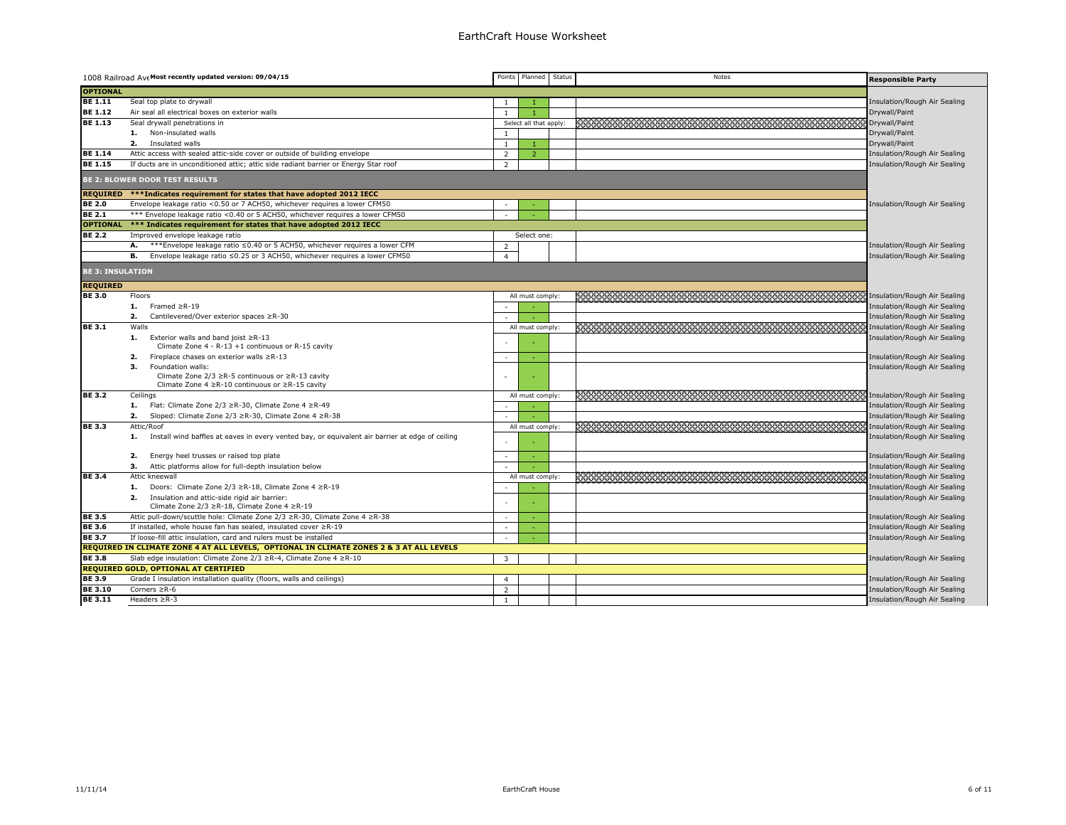## EarthCraft House Worksheet

|                         | 1008 Railroad Ave Most recently updated version: 09/04/15                                                         | Points         | Planned Status         | Notes                                                      | <b>Responsible Party</b>     |
|-------------------------|-------------------------------------------------------------------------------------------------------------------|----------------|------------------------|------------------------------------------------------------|------------------------------|
| <b>OPTIONAL</b>         |                                                                                                                   |                |                        |                                                            |                              |
| <b>BE 1.11</b>          | Seal top plate to drywall                                                                                         | $\mathbf{1}$   |                        |                                                            | Insulation/Rough Air Sealing |
| <b>BE 1.12</b>          | Air seal all electrical boxes on exterior walls                                                                   | $\mathbf{1}$   |                        |                                                            | Drywall/Paint                |
| <b>BE 1.13</b>          | Seal drywall penetrations in                                                                                      |                | Select all that apply: | <u> 1989 - Jan Barnett, fransk forsk politik (f. 1989)</u> | Drywall/Paint                |
|                         | Non-insulated walls<br>1.                                                                                         | $\mathbf{1}$   |                        |                                                            | Drywall/Paint                |
|                         | Insulated walls<br>2.                                                                                             | $\mathbf{1}$   |                        |                                                            | Drywall/Paint                |
| <b>BE 1.14</b>          | Attic access with sealed attic-side cover or outside of building envelope                                         | $\overline{2}$ | $\overline{2}$         |                                                            | Insulation/Rough Air Sealing |
| <b>BE 1.15</b>          | If ducts are in unconditioned attic; attic side radiant barrier or Energy Star roof                               | 2              |                        |                                                            | Insulation/Rough Air Sealing |
|                         | <b>BE 2: BLOWER DOOR TEST RESULTS</b>                                                                             |                |                        |                                                            |                              |
|                         | REQUIRED ***Indicates requirement for states that have adopted 2012 IECC                                          |                |                        |                                                            |                              |
| <b>BE 2.0</b>           | Envelope leakage ratio <0.50 or 7 ACH50, whichever requires a lower CFM50                                         |                |                        |                                                            | Insulation/Rough Air Sealing |
| <b>BE 2.1</b>           | *** Envelope leakage ratio < 0.40 or 5 ACH50, whichever requires a lower CFM50                                    |                |                        |                                                            |                              |
|                         | OPTIONAL *** Indicates requirement for states that have adopted 2012 IECC                                         |                |                        |                                                            |                              |
| <b>BE 2.2</b>           | Improved envelope leakage ratio                                                                                   |                | Select one:            |                                                            |                              |
|                         | А.<br>***Envelope leakage ratio ≤0.40 or 5 ACH50, whichever requires a lower CFM                                  | $\overline{2}$ |                        |                                                            | Insulation/Rough Air Sealing |
|                         | Envelope leakage ratio ≤0.25 or 3 ACH50, whichever requires a lower CFM50<br>в.                                   | $\overline{4}$ |                        |                                                            | Insulation/Rough Air Sealing |
| <b>BE 3: INSULATION</b> |                                                                                                                   |                |                        |                                                            |                              |
| <b>REQUIRED</b>         |                                                                                                                   |                |                        |                                                            |                              |
| <b>BE 3.0</b>           | Floors                                                                                                            |                | All must comply:       |                                                            | Insulation/Rough Air Sealing |
|                         | 1.<br>Framed $\geq$ R-19                                                                                          | $\sim$         |                        |                                                            | Insulation/Rough Air Sealing |
|                         | Cantilevered/Over exterior spaces ≥R-30<br>2.                                                                     |                |                        |                                                            | Insulation/Rough Air Sealing |
| <b>BE 3.1</b>           | Walls                                                                                                             |                | All must comply:       |                                                            | Insulation/Rough Air Sealing |
|                         | 1. Exterior walls and band joist $\geq R-13$                                                                      |                |                        |                                                            | Insulation/Rough Air Sealing |
|                         | Climate Zone 4 - R-13 +1 continuous or R-15 cavity                                                                |                |                        |                                                            |                              |
|                         | Fireplace chases on exterior walls ≥R-13<br>2.                                                                    | $\sim$         |                        |                                                            | Insulation/Rough Air Sealing |
|                         | Foundation walls:<br>з.                                                                                           |                |                        |                                                            | Insulation/Rough Air Sealing |
|                         | Climate Zone 2/3 ≥R-5 continuous or ≥R-13 cavity<br>Climate Zone $4 \ge R - 10$ continuous or $\ge R - 15$ cavity | ÷.             |                        |                                                            |                              |
| <b>BE 3.2</b>           | Ceilings                                                                                                          |                | All must comply:       |                                                            |                              |
|                         | Flat: Climate Zone 2/3 ≥R-30, Climate Zone 4 ≥R-49<br>1.                                                          | $\sim$         |                        |                                                            | Insulation/Rough Air Sealing |
|                         | Sloped: Climate Zone 2/3 ≥R-30, Climate Zone 4 ≥R-38<br>2.                                                        |                |                        |                                                            | Insulation/Rough Air Sealing |
| <b>BE 3.3</b>           | Attic/Roof                                                                                                        |                | All must comply:       |                                                            | Insulation/Rough Air Sealing |
|                         | Install wind baffles at eaves in every vented bay, or equivalent air barrier at edge of ceiling<br>1.             |                |                        |                                                            | Insulation/Rough Air Sealing |
|                         |                                                                                                                   |                |                        |                                                            |                              |
|                         | Energy heel trusses or raised top plate<br>2.                                                                     | $\sim$         |                        |                                                            | Insulation/Rough Air Sealing |
|                         | Attic platforms allow for full-depth insulation below<br>з.                                                       |                |                        |                                                            | Insulation/Rough Air Sealing |
| <b>BE 3.4</b>           | Attic kneewall                                                                                                    |                | All must comply:       |                                                            | Insulation/Rough Air Sealing |
|                         | Doors: Climate Zone 2/3 ≥R-18, Climate Zone 4 ≥R-19<br>1.                                                         |                |                        |                                                            | Insulation/Rough Air Sealing |
|                         | Insulation and attic-side rigid air barrier:<br>2.                                                                | $\sim$         |                        |                                                            | Insulation/Rough Air Sealing |
|                         | Climate Zone 2/3 ≥R-18, Climate Zone 4 ≥R-19                                                                      |                |                        |                                                            |                              |
| <b>BE 3.5</b>           | Attic pull-down/scuttle hole: Climate Zone 2/3 ≥R-30, Climate Zone 4 ≥R-38                                        | $\sim$         | $\sim$                 |                                                            | Insulation/Rough Air Sealing |
| <b>BE 3.6</b>           | If installed, whole house fan has sealed, insulated cover ≥R-19                                                   | $\sim$         |                        |                                                            | Insulation/Rough Air Sealing |
| <b>BE 3.7</b>           | If loose-fill attic insulation, card and rulers must be installed                                                 | $\sim$         |                        |                                                            | Insulation/Rough Air Sealing |
|                         | REQUIRED IN CLIMATE ZONE 4 AT ALL LEVELS, OPTIONAL IN CLIMATE ZONES 2 & 3 AT ALL LEVELS                           |                |                        |                                                            |                              |
| <b>BE 3.8</b>           | Slab edge insulation: Climate Zone 2/3 ≥R-4, Climate Zone 4 ≥R-10                                                 | $\overline{3}$ |                        |                                                            | Insulation/Rough Air Sealing |
|                         | <b>REQUIRED GOLD, OPTIONAL AT CERTIFIED</b>                                                                       |                |                        |                                                            |                              |
| <b>BE 3.9</b>           | Grade I insulation installation quality (floors, walls and ceilings)                                              | $\overline{4}$ |                        |                                                            | Insulation/Rough Air Sealing |
| <b>BE 3.10</b>          | Corners $\geq R-6$                                                                                                | $\overline{2}$ |                        |                                                            | Insulation/Rough Air Sealing |
| <b>BE 3.11</b>          | Headers $\geq R-3$                                                                                                | $\overline{1}$ |                        |                                                            | Insulation/Rough Air Sealing |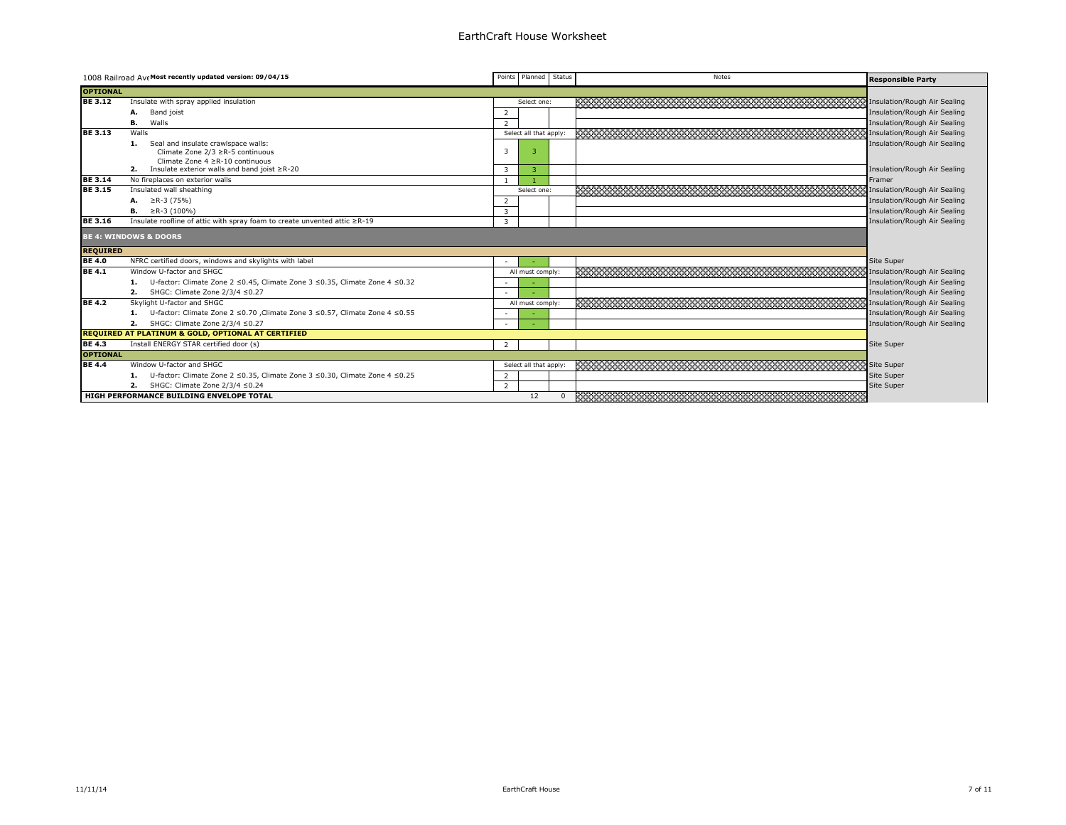|                 | 1008 Railroad AveMost recently updated version: 09/04/15                    |                         | Points Planned Status  |          | Notes                                                                                                                 | <b>Responsible Party</b>     |
|-----------------|-----------------------------------------------------------------------------|-------------------------|------------------------|----------|-----------------------------------------------------------------------------------------------------------------------|------------------------------|
| <b>OPTIONAL</b> |                                                                             |                         |                        |          |                                                                                                                       |                              |
| <b>BE 3.12</b>  | Insulate with spray applied insulation                                      |                         | Select one:            |          | のことは、このことは、このことは、このことは、このことは、このことは、 Insulation/Rough Air Sealing                                                      |                              |
|                 | Band joist<br>А.                                                            | 2                       |                        |          |                                                                                                                       | Insulation/Rough Air Sealing |
|                 | Walls<br>В.                                                                 | $\overline{2}$          |                        |          |                                                                                                                       | Insulation/Rough Air Sealing |
| <b>BE 3.13</b>  | Walls                                                                       |                         | Select all that apply: |          |                                                                                                                       | Insulation/Rough Air Sealing |
|                 | Seal and insulate crawlspace walls:<br>1.                                   |                         |                        |          |                                                                                                                       | Insulation/Rough Air Sealing |
|                 | Climate Zone 2/3 ≥R-5 continuous<br>Climate Zone 4 ≥R-10 continuous         | $\overline{\mathbf{3}}$ |                        |          |                                                                                                                       |                              |
|                 | Insulate exterior walls and band joist ≥R-20<br>2.                          | 3                       |                        |          |                                                                                                                       | Insulation/Rough Air Sealing |
| <b>BE 3.14</b>  | No fireplaces on exterior walls                                             |                         |                        |          |                                                                                                                       | Framer                       |
| <b>BE 3.15</b>  | Insulated wall sheathing                                                    |                         | Select one:            |          |                                                                                                                       | Insulation/Rough Air Sealing |
|                 | $\ge$ R-3 (75%)                                                             | 2                       |                        |          |                                                                                                                       | Insulation/Rough Air Sealing |
|                 | $\geq$ R-3 (100%)                                                           | 3                       |                        |          |                                                                                                                       | Insulation/Rough Air Sealing |
| <b>BE 3.16</b>  | Insulate roofline of attic with spray foam to create unvented attic ≥R-19   | 3                       |                        |          |                                                                                                                       | Insulation/Rough Air Sealing |
|                 | <b>BE 4: WINDOWS &amp; DOORS</b>                                            |                         |                        |          |                                                                                                                       |                              |
| <b>REQUIRED</b> |                                                                             |                         |                        |          |                                                                                                                       |                              |
| <b>BE 4.0</b>   | NFRC certified doors, windows and skylights with label                      |                         |                        |          |                                                                                                                       | Site Super                   |
| <b>BE 4.1</b>   | Window U-factor and SHGC                                                    |                         | All must comply:       |          |                                                                                                                       | Insulation/Rough Air Sealing |
|                 | U-factor: Climate Zone 2 ≤0.45, Climate Zone 3 ≤0.35, Climate Zone 4 ≤0.32  |                         |                        |          |                                                                                                                       | Insulation/Rough Air Sealing |
|                 | SHGC: Climate Zone 2/3/4 ≤0.27<br>2.                                        |                         |                        |          |                                                                                                                       | Insulation/Rough Air Sealing |
| <b>BE 4.2</b>   | Skylight U-factor and SHGC                                                  |                         | All must comply:       |          |                                                                                                                       | Insulation/Rough Air Sealing |
|                 | U-factor: Climate Zone 2 ≤0.70 , Climate Zone 3 ≤0.57, Climate Zone 4 ≤0.55 |                         |                        |          |                                                                                                                       | Insulation/Rough Air Sealing |
|                 | SHGC: Climate Zone 2/3/4 ≤0.27<br>2.                                        |                         |                        |          |                                                                                                                       | Insulation/Rough Air Sealing |
|                 | <b>REQUIRED AT PLATINUM &amp; GOLD, OPTIONAL AT CERTIFIED</b>               |                         |                        |          |                                                                                                                       |                              |
| <b>BE 4.3</b>   | Install ENERGY STAR certified door (s)                                      | 2                       |                        |          |                                                                                                                       | <b>Site Super</b>            |
| <b>OPTIONAL</b> |                                                                             |                         |                        |          |                                                                                                                       |                              |
| <b>BE 4.4</b>   | Window U-factor and SHGC                                                    |                         | Select all that apply  |          |                                                                                                                       | Site Super                   |
|                 | U-factor: Climate Zone 2 ≤0.35, Climate Zone 3 ≤0.30, Climate Zone 4 ≤0.25  |                         |                        |          |                                                                                                                       | <b>Site Super</b>            |
|                 | SHGC: Climate Zone 2/3/4 ≤0.24<br>2.                                        | $\overline{2}$          |                        |          |                                                                                                                       | Site Super                   |
|                 | HIGH PERFORMANCE BUILDING ENVELOPE TOTAL                                    |                         | 12                     | $\Omega$ | <u> 1999 - Jan Barnett, mars ann an Castell ann an Castell ann an Castell ann an Castell ann an Castell ann an Ca</u> |                              |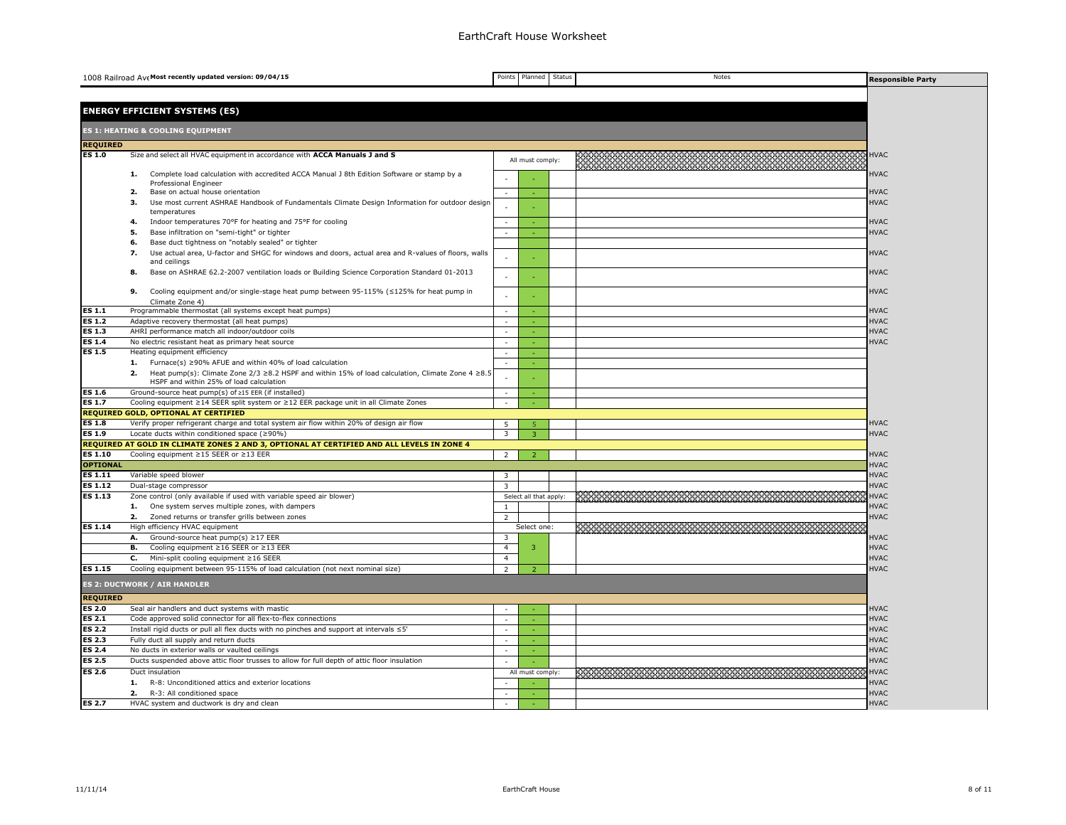|                                | 1008 Railroad Ave Most recently updated version: 09/04/15                                                                                                                           | Points                         | Planned                | Status | Notes                                                                                                                | <b>Responsible Party</b>   |
|--------------------------------|-------------------------------------------------------------------------------------------------------------------------------------------------------------------------------------|--------------------------------|------------------------|--------|----------------------------------------------------------------------------------------------------------------------|----------------------------|
|                                |                                                                                                                                                                                     |                                |                        |        |                                                                                                                      |                            |
|                                |                                                                                                                                                                                     |                                |                        |        |                                                                                                                      |                            |
|                                | <b>ENERGY EFFICIENT SYSTEMS (ES)</b>                                                                                                                                                |                                |                        |        |                                                                                                                      |                            |
|                                | <b>ES 1: HEATING &amp; COOLING EQUIPMENT</b>                                                                                                                                        |                                |                        |        |                                                                                                                      |                            |
| <b>REQUIRED</b>                |                                                                                                                                                                                     |                                |                        |        |                                                                                                                      |                            |
| <b>ES 1.0</b>                  | Size and select all HVAC equipment in accordance with ACCA Manuals J and S                                                                                                          |                                |                        |        |                                                                                                                      | <b>HVAC</b>                |
|                                |                                                                                                                                                                                     |                                | All must comply:       |        |                                                                                                                      |                            |
|                                | Complete load calculation with accredited ACCA Manual J 8th Edition Software or stamp by a<br>1.                                                                                    |                                |                        |        |                                                                                                                      | <b>HVAC</b>                |
|                                | Professional Engineer<br>Base on actual house orientation<br>2.                                                                                                                     | $\sim$                         |                        |        |                                                                                                                      | <b>HVAC</b>                |
|                                | Use most current ASHRAE Handbook of Fundamentals Climate Design Information for outdoor design<br>з.                                                                                |                                |                        |        |                                                                                                                      | <b>HVAC</b>                |
|                                | temperatures                                                                                                                                                                        |                                |                        |        |                                                                                                                      |                            |
|                                | Indoor temperatures 70°F for heating and 75°F for cooling<br>4.                                                                                                                     |                                |                        |        |                                                                                                                      | <b>HVAC</b>                |
|                                | Base infiltration on "semi-tight" or tighter<br>5.<br>Base duct tightness on "notably sealed" or tighter<br>6.                                                                      |                                |                        |        |                                                                                                                      | <b>HVAC</b>                |
|                                | Use actual area, U-factor and SHGC for windows and doors, actual area and R-values of floors, walls<br>7.                                                                           |                                |                        |        |                                                                                                                      | <b>HVAC</b>                |
|                                | and ceilings                                                                                                                                                                        |                                |                        |        |                                                                                                                      |                            |
|                                | Base on ASHRAE 62.2-2007 ventilation loads or Building Science Corporation Standard 01-2013<br>8.                                                                                   | ÷.                             |                        |        |                                                                                                                      | <b>HVAC</b>                |
|                                |                                                                                                                                                                                     |                                |                        |        |                                                                                                                      |                            |
|                                | Cooling equipment and/or single-stage heat pump between 95-115% (≤125% for heat pump in<br>9.<br>Climate Zone 4)                                                                    |                                |                        |        |                                                                                                                      | <b>HVAC</b>                |
| <b>ES 1.1</b>                  | Programmable thermostat (all systems except heat pumps)                                                                                                                             | ÷.                             |                        |        |                                                                                                                      | <b>HVAC</b>                |
| <b>ES 1.2</b>                  | Adaptive recovery thermostat (all heat pumps)                                                                                                                                       |                                |                        |        |                                                                                                                      | <b>HVAC</b>                |
| <b>ES 1.3</b>                  | AHRI performance match all indoor/outdoor coils                                                                                                                                     |                                |                        |        |                                                                                                                      | <b>HVAC</b>                |
| <b>ES 1.4</b>                  | No electric resistant heat as primary heat source                                                                                                                                   |                                |                        |        |                                                                                                                      | <b>HVAC</b>                |
| <b>ES 1.5</b>                  | Heating equipment efficiency                                                                                                                                                        | $\sim$                         |                        |        |                                                                                                                      |                            |
|                                | Furnace(s) ≥90% AFUE and within 40% of load calculation<br>1.<br>Heat pump(s): Climate Zone 2/3 $\geq$ 8.2 HSPF and within 15% of load calculation, Climate Zone 4 $\geq$ 8.5<br>2. |                                |                        |        |                                                                                                                      |                            |
|                                | HSPF and within 25% of load calculation                                                                                                                                             |                                |                        |        |                                                                                                                      |                            |
| <b>ES 1.6</b>                  | Ground-source heat pump(s) of ≥15 EER (if installed)                                                                                                                                |                                |                        |        |                                                                                                                      |                            |
| <b>ES 1.7</b>                  | Cooling equipment ≥14 SEER split system or ≥12 EER package unit in all Climate Zones                                                                                                | $\sim$                         |                        |        |                                                                                                                      |                            |
| <b>ES 1.8</b>                  | <b>REQUIRED GOLD, OPTIONAL AT CERTIFIED</b><br>Verify proper refrigerant charge and total system air flow within 20% of design air flow                                             | 5                              |                        |        |                                                                                                                      | <b>HVAC</b>                |
| <b>ES 1.9</b>                  | Locate ducts within conditioned space (≥90%)                                                                                                                                        | $\overline{3}$                 | 3                      |        |                                                                                                                      | <b>HVAC</b>                |
|                                | REQUIRED AT GOLD IN CLIMATE ZONES 2 AND 3, OPTIONAL AT CERTIFIED AND ALL LEVELS IN ZONE 4                                                                                           |                                |                        |        |                                                                                                                      |                            |
| <b>ES 1.10</b>                 | Cooling equipment ≥15 SEER or ≥13 EER                                                                                                                                               | $\overline{2}$                 | $\mathcal{P}$          |        |                                                                                                                      | <b>HVAC</b>                |
| <b>OPTIONAL</b>                |                                                                                                                                                                                     |                                |                        |        |                                                                                                                      | <b>HVAC</b>                |
| <b>ES 1.11</b>                 | Variable speed blower                                                                                                                                                               | 3                              |                        |        |                                                                                                                      | <b>HVAC</b>                |
| <b>ES 1.12</b>                 | Dual-stage compressor                                                                                                                                                               | $\mathbf{z}$                   |                        |        |                                                                                                                      | <b>HVAC</b>                |
| <b>ES 1.13</b>                 | Zone control (only available if used with variable speed air blower)                                                                                                                |                                | Select all that apply: |        | 2000 - 2000 - 2000 - 2000 - 2000 - 2000 - 2000 - 2000 - 2000 - 2000 - 2000 - 2000 - 2000 - 2000 - 2000 - 2000        | <b>HVAC</b>                |
|                                | 1. One system serves multiple zones, with dampers<br>2.<br>Zoned returns or transfer grills between zones                                                                           | $\mathbf{1}$<br>$\overline{2}$ |                        |        |                                                                                                                      | <b>HVAC</b><br><b>HVAC</b> |
| <b>ES 1.14</b>                 | High efficiency HVAC equipment                                                                                                                                                      |                                | Select one:            |        | <u> 1988 - 1989 - 1989 - 1989 - 1989 - 1989 - 1989 - 1989 - 1989 - 1989 - 1989 - 1989 - 1989 - 1989 - 1989 - 19</u>  |                            |
|                                | Ground-source heat $pump(s) \geq 17$ EER<br>А.                                                                                                                                      | $\overline{3}$                 |                        |        |                                                                                                                      | <b>HVAC</b>                |
|                                | Cooling equipment ≥16 SEER or ≥13 EER<br>в.                                                                                                                                         | $\overline{4}$                 | $\overline{3}$         |        |                                                                                                                      | <b>HVAC</b>                |
|                                | c.<br>Mini-split cooling equipment ≥16 SEER                                                                                                                                         | $\overline{4}$                 |                        |        |                                                                                                                      | <b>HVAC</b>                |
| <b>ES 1.15</b>                 | Cooling equipment between 95-115% of load calculation (not next nominal size)                                                                                                       | $\overline{2}$                 | $\overline{z}$         |        |                                                                                                                      | <b>HVAC</b>                |
|                                | <b>ES 2: DUCTWORK / AIR HANDLER</b>                                                                                                                                                 |                                |                        |        |                                                                                                                      |                            |
| <b>REQUIRED</b>                |                                                                                                                                                                                     |                                |                        |        |                                                                                                                      |                            |
| <b>ES 2.0</b>                  | Seal air handlers and duct systems with mastic                                                                                                                                      |                                |                        |        |                                                                                                                      | <b>HVAC</b>                |
| <b>ES 2.1</b>                  | Code approved solid connector for all flex-to-flex connections                                                                                                                      |                                |                        |        |                                                                                                                      | <b>HVAC</b>                |
| <b>ES 2.2</b>                  | Install rigid ducts or pull all flex ducts with no pinches and support at intervals ≤5'                                                                                             | $\sim$                         |                        |        |                                                                                                                      | <b>HVAC</b>                |
| ES 2.3                         | Fully duct all supply and return ducts                                                                                                                                              | $\sim$                         |                        |        |                                                                                                                      | <b>HVAC</b>                |
| <b>ES 2.4</b><br><b>ES 2.5</b> | No ducts in exterior walls or vaulted ceilings                                                                                                                                      | $\overline{\phantom{a}}$       |                        |        |                                                                                                                      | <b>HVAC</b><br><b>HVAC</b> |
| <b>ES 2.6</b>                  | Ducts suspended above attic floor trusses to allow for full depth of attic floor insulation                                                                                         |                                |                        |        | <u> 1988 - Jan Samuel Barbon, mars ann an 1976 - Baile Barbon, ann an 1976 - Baile Barbon, ann an 1976 - Baile B</u> | <b>HVAC</b>                |
|                                | Duct insulation<br>1.<br>R-8: Unconditioned attics and exterior locations                                                                                                           |                                | All must comply:       |        |                                                                                                                      | <b>HVAC</b>                |
|                                | R-3: All conditioned space<br>2.                                                                                                                                                    | $\sim$                         |                        |        |                                                                                                                      | <b>HVAC</b>                |
| <b>ES 2.7</b>                  | HVAC system and ductwork is dry and clean                                                                                                                                           | $\sim$                         |                        |        |                                                                                                                      | <b>HVAC</b>                |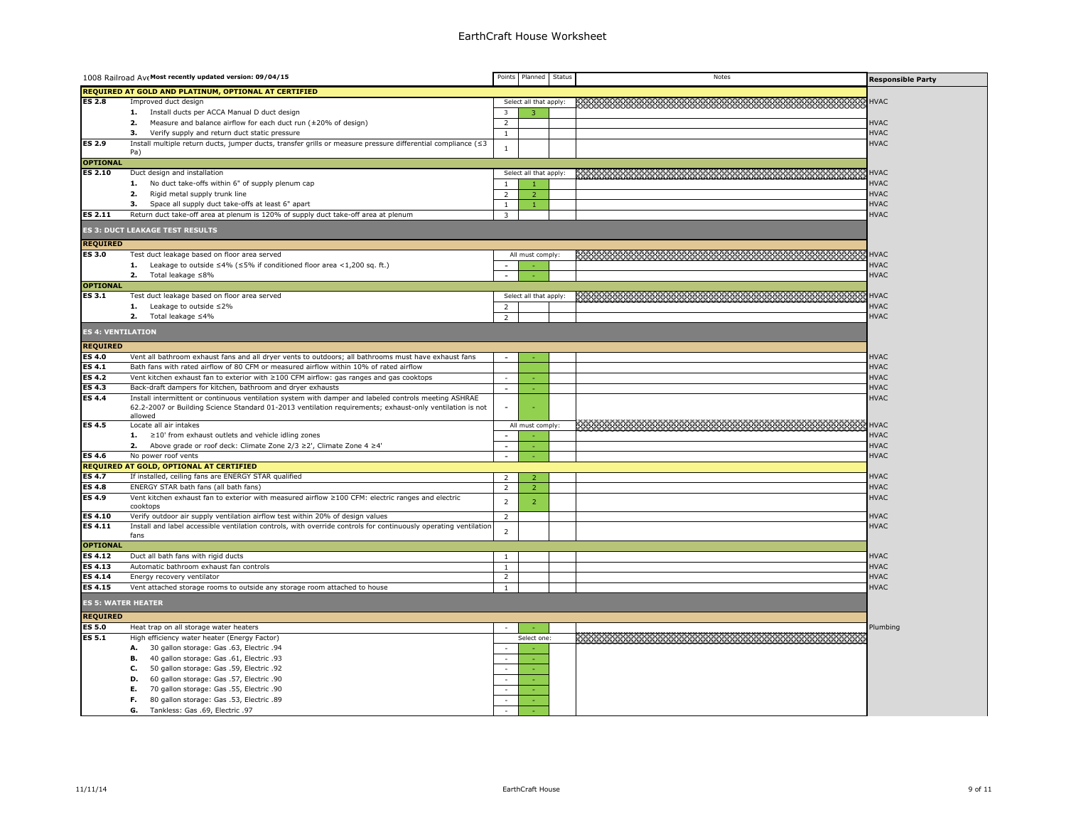| REQUIRED AT GOLD AND PLATINUM, OPTIONAL AT CERTIFIED<br><b>ES 2.8</b><br>Select all that apply:<br><b>HVAC</b><br>Improved duct design<br>**************************************<br>1. Install ducts per ACCA Manual D duct design<br>3<br>2.<br>Measure and balance airflow for each duct run (±20% of design)<br>$\overline{2}$<br><b>HVAC</b><br><b>HVAC</b><br>Verify supply and return duct static pressure<br>з.<br>$\mathbf{1}$<br><b>ES 2.9</b><br><b>HVAC</b><br>Install multiple return ducts, jumper ducts, transfer grills or measure pressure differential compliance (≤3<br>$\mathbf{1}$<br>Pa)<br><b>OPTIONAL</b><br><b>ES 2.10</b><br><u> kwamawa wa wakazi wa wakazi wa wakazi wa wa</u><br><b>HVAC</b><br>Duct design and installation<br>Select all that apply:<br>1. No duct take-offs within 6" of supply plenum cap<br><b>HVAC</b><br>$\overline{1}$<br><b>HVAC</b><br>2.<br>Rigid metal supply trunk line<br>2<br>$\overline{2}$<br><b>HVAC</b><br>з.<br>Space all supply duct take-offs at least 6" apart<br>$\mathbf{1}$<br>$\overline{1}$<br>ES 2.11<br>Return duct take-off area at plenum is 120% of supply duct take-off area at plenum<br><b>HVAC</b><br>$\overline{3}$<br><b>ES 3: DUCT LEAKAGE TEST RESULTS</b><br><b>REQUIRED</b><br><b>ES 3.0</b><br>Test duct leakage based on floor area served<br><b>HVAC</b><br>All must comply:<br><b>1.</b> Leakage to outside $\leq 4\%$ ( $\leq 5\%$ if conditioned floor area <1,200 sq. ft.)<br><b>HVAC</b><br><b>HVAC</b><br>2. Total leakage $\leq 8\%$<br><b>OPTIONAL</b><br><b>ES 3.1</b><br>Test duct leakage based on floor area served<br>Select all that apply:<br><b>HVAC</b><br><b>HVAC</b><br>1. Leakage to outside $\leq 2\%$<br>2<br><b>HVAC</b><br>2.<br>Total leakage ≤4%<br>$\overline{2}$<br><b>ES 4: VENTILATION</b><br><b>REQUIRED</b><br><b>ES 4.0</b><br>Vent all bathroom exhaust fans and all dryer vents to outdoors; all bathrooms must have exhaust fans<br><b>HVAC</b><br><b>ES 4.1</b><br>Bath fans with rated airflow of 80 CFM or measured airflow within 10% of rated airflow<br><b>HVAC</b><br><b>ES 4.2</b><br>Vent kitchen exhaust fan to exterior with ≥100 CFM airflow: gas ranges and gas cooktops<br><b>HVAC</b><br>$\sim$<br>r.<br><b>ES 4.3</b><br><b>HVAC</b><br>Back-draft dampers for kitchen, bathroom and dryer exhausts<br>$\sim$<br><b>HVAC</b><br><b>ES 4.4</b><br>Install intermittent or continuous ventilation system with damper and labeled controls meeting ASHRAE<br>62.2-2007 or Building Science Standard 01-2013 ventilation requirements; exhaust-only ventilation is not<br>$\sim$<br>allowed<br><b>ES 4.5</b><br>Locate all air intakes<br>All must comply:<br><b>HVAC</b><br><b>HVAC</b><br>1. $\geq$ 10' from exhaust outlets and vehicle idling zones<br>2. Above grade or roof deck: Climate Zone $2/3 \ge 2'$ , Climate Zone 4 $\ge 4'$<br><b>HVAC</b><br>$\sim$<br><b>ES 4.6</b><br>No power roof vents<br><b>HVAC</b><br>$\sim$<br>REQUIRED AT GOLD, OPTIONAL AT CERTIFIED<br><b>ES 4.7</b><br>If installed, ceiling fans are ENERGY STAR qualified<br><b>HVAC</b><br>2<br>$\overline{2}$<br><b>ES 4.8</b><br>ENERGY STAR bath fans (all bath fans)<br><b>HVAC</b><br>$\overline{2}$<br>$\overline{2}$<br><b>ES 4.9</b><br>Vent kitchen exhaust fan to exterior with measured airflow ≥100 CFM: electric ranges and electric<br><b>HVAC</b><br>$\overline{2}$<br>$\overline{2}$<br>cooktops<br><b>ES 4.10</b><br>Verify outdoor air supply ventilation airflow test within 20% of design values<br>$\overline{2}$<br><b>HVAC</b><br><b>ES 4.11</b><br>Install and label accessible ventilation controls, with override controls for continuously operating ventilation<br><b>HVAC</b><br>$\overline{2}$<br>fans<br><b>OPTIONAL</b><br><b>ES 4.12</b><br>Duct all bath fans with rigid ducts<br><b>HVAC</b><br>$\mathbf{1}$<br><b>ES 4.13</b><br><b>HVAC</b><br>Automatic bathroom exhaust fan controls<br>$\mathbf{1}$<br><b>ES 4.14</b><br>2<br><b>HVAC</b><br>Energy recovery ventilator<br><b>ES 4.15</b><br><b>HVAC</b><br>Vent attached storage rooms to outside any storage room attached to house<br>$\mathbf{1}$<br><b>ES 5: WATER HEATER</b><br><b>REQUIRED</b><br><b>ES 5.0</b><br>Heat trap on all storage water heaters<br>Plumbing<br><b>ES 5.1</b><br>*************************<br>High efficiency water heater (Energy Factor)<br>Select one:<br>30 gallon storage: Gas .63, Electric .94<br>А.<br>в.<br>40 gallon storage: Gas .61, Electric .93<br>$\overline{a}$<br>50 gallon storage: Gas .59, Electric .92<br>С.<br>D.<br>60 gallon storage: Gas .57, Electric .90<br>70 gallon storage: Gas .55, Electric .90<br>Е.<br>80 gallon storage: Gas .53, Electric .89<br>г.<br>G.<br>Tankless: Gas .69, Electric .97 | 1008 Railroad Ave Most recently updated version: 09/04/15 | Points | Planned | Status | Notes | <b>Responsible Party</b> |
|-------------------------------------------------------------------------------------------------------------------------------------------------------------------------------------------------------------------------------------------------------------------------------------------------------------------------------------------------------------------------------------------------------------------------------------------------------------------------------------------------------------------------------------------------------------------------------------------------------------------------------------------------------------------------------------------------------------------------------------------------------------------------------------------------------------------------------------------------------------------------------------------------------------------------------------------------------------------------------------------------------------------------------------------------------------------------------------------------------------------------------------------------------------------------------------------------------------------------------------------------------------------------------------------------------------------------------------------------------------------------------------------------------------------------------------------------------------------------------------------------------------------------------------------------------------------------------------------------------------------------------------------------------------------------------------------------------------------------------------------------------------------------------------------------------------------------------------------------------------------------------------------------------------------------------------------------------------------------------------------------------------------------------------------------------------------------------------------------------------------------------------------------------------------------------------------------------------------------------------------------------------------------------------------------------------------------------------------------------------------------------------------------------------------------------------------------------------------------------------------------------------------------------------------------------------------------------------------------------------------------------------------------------------------------------------------------------------------------------------------------------------------------------------------------------------------------------------------------------------------------------------------------------------------------------------------------------------------------------------------------------------------------------------------------------------------------------------------------------------------------------------------------------------------------------------------------------------------------------------------------------------------------------------------------------------------------------------------------------------------------------------------------------------------------------------------------------------------------------------------------------------------------------------------------------------------------------------------------------------------------------------------------------------------------------------------------------------------------------------------------------------------------------------------------------------------------------------------------------------------------------------------------------------------------------------------------------------------------------------------------------------------------------------------------------------------------------------------------------------------------------------------------------------------------------------------------------------------------------------------------------------------------------------------------------------------------------------------------------------------------------------------------------------------------------------------------------------------------------------------------------------------------------------------------------------------------------------------------------------------------------------------------------------------------------------------------------------------------------------------------------------------------------------|-----------------------------------------------------------|--------|---------|--------|-------|--------------------------|
|                                                                                                                                                                                                                                                                                                                                                                                                                                                                                                                                                                                                                                                                                                                                                                                                                                                                                                                                                                                                                                                                                                                                                                                                                                                                                                                                                                                                                                                                                                                                                                                                                                                                                                                                                                                                                                                                                                                                                                                                                                                                                                                                                                                                                                                                                                                                                                                                                                                                                                                                                                                                                                                                                                                                                                                                                                                                                                                                                                                                                                                                                                                                                                                                                                                                                                                                                                                                                                                                                                                                                                                                                                                                                                                                                                                                                                                                                                                                                                                                                                                                                                                                                                                                                                                                                                                                                                                                                                                                                                                                                                                                                                                                                                                                                                                     |                                                           |        |         |        |       |                          |
|                                                                                                                                                                                                                                                                                                                                                                                                                                                                                                                                                                                                                                                                                                                                                                                                                                                                                                                                                                                                                                                                                                                                                                                                                                                                                                                                                                                                                                                                                                                                                                                                                                                                                                                                                                                                                                                                                                                                                                                                                                                                                                                                                                                                                                                                                                                                                                                                                                                                                                                                                                                                                                                                                                                                                                                                                                                                                                                                                                                                                                                                                                                                                                                                                                                                                                                                                                                                                                                                                                                                                                                                                                                                                                                                                                                                                                                                                                                                                                                                                                                                                                                                                                                                                                                                                                                                                                                                                                                                                                                                                                                                                                                                                                                                                                                     |                                                           |        |         |        |       |                          |
|                                                                                                                                                                                                                                                                                                                                                                                                                                                                                                                                                                                                                                                                                                                                                                                                                                                                                                                                                                                                                                                                                                                                                                                                                                                                                                                                                                                                                                                                                                                                                                                                                                                                                                                                                                                                                                                                                                                                                                                                                                                                                                                                                                                                                                                                                                                                                                                                                                                                                                                                                                                                                                                                                                                                                                                                                                                                                                                                                                                                                                                                                                                                                                                                                                                                                                                                                                                                                                                                                                                                                                                                                                                                                                                                                                                                                                                                                                                                                                                                                                                                                                                                                                                                                                                                                                                                                                                                                                                                                                                                                                                                                                                                                                                                                                                     |                                                           |        |         |        |       |                          |
|                                                                                                                                                                                                                                                                                                                                                                                                                                                                                                                                                                                                                                                                                                                                                                                                                                                                                                                                                                                                                                                                                                                                                                                                                                                                                                                                                                                                                                                                                                                                                                                                                                                                                                                                                                                                                                                                                                                                                                                                                                                                                                                                                                                                                                                                                                                                                                                                                                                                                                                                                                                                                                                                                                                                                                                                                                                                                                                                                                                                                                                                                                                                                                                                                                                                                                                                                                                                                                                                                                                                                                                                                                                                                                                                                                                                                                                                                                                                                                                                                                                                                                                                                                                                                                                                                                                                                                                                                                                                                                                                                                                                                                                                                                                                                                                     |                                                           |        |         |        |       |                          |
|                                                                                                                                                                                                                                                                                                                                                                                                                                                                                                                                                                                                                                                                                                                                                                                                                                                                                                                                                                                                                                                                                                                                                                                                                                                                                                                                                                                                                                                                                                                                                                                                                                                                                                                                                                                                                                                                                                                                                                                                                                                                                                                                                                                                                                                                                                                                                                                                                                                                                                                                                                                                                                                                                                                                                                                                                                                                                                                                                                                                                                                                                                                                                                                                                                                                                                                                                                                                                                                                                                                                                                                                                                                                                                                                                                                                                                                                                                                                                                                                                                                                                                                                                                                                                                                                                                                                                                                                                                                                                                                                                                                                                                                                                                                                                                                     |                                                           |        |         |        |       |                          |
|                                                                                                                                                                                                                                                                                                                                                                                                                                                                                                                                                                                                                                                                                                                                                                                                                                                                                                                                                                                                                                                                                                                                                                                                                                                                                                                                                                                                                                                                                                                                                                                                                                                                                                                                                                                                                                                                                                                                                                                                                                                                                                                                                                                                                                                                                                                                                                                                                                                                                                                                                                                                                                                                                                                                                                                                                                                                                                                                                                                                                                                                                                                                                                                                                                                                                                                                                                                                                                                                                                                                                                                                                                                                                                                                                                                                                                                                                                                                                                                                                                                                                                                                                                                                                                                                                                                                                                                                                                                                                                                                                                                                                                                                                                                                                                                     |                                                           |        |         |        |       |                          |
|                                                                                                                                                                                                                                                                                                                                                                                                                                                                                                                                                                                                                                                                                                                                                                                                                                                                                                                                                                                                                                                                                                                                                                                                                                                                                                                                                                                                                                                                                                                                                                                                                                                                                                                                                                                                                                                                                                                                                                                                                                                                                                                                                                                                                                                                                                                                                                                                                                                                                                                                                                                                                                                                                                                                                                                                                                                                                                                                                                                                                                                                                                                                                                                                                                                                                                                                                                                                                                                                                                                                                                                                                                                                                                                                                                                                                                                                                                                                                                                                                                                                                                                                                                                                                                                                                                                                                                                                                                                                                                                                                                                                                                                                                                                                                                                     |                                                           |        |         |        |       |                          |
|                                                                                                                                                                                                                                                                                                                                                                                                                                                                                                                                                                                                                                                                                                                                                                                                                                                                                                                                                                                                                                                                                                                                                                                                                                                                                                                                                                                                                                                                                                                                                                                                                                                                                                                                                                                                                                                                                                                                                                                                                                                                                                                                                                                                                                                                                                                                                                                                                                                                                                                                                                                                                                                                                                                                                                                                                                                                                                                                                                                                                                                                                                                                                                                                                                                                                                                                                                                                                                                                                                                                                                                                                                                                                                                                                                                                                                                                                                                                                                                                                                                                                                                                                                                                                                                                                                                                                                                                                                                                                                                                                                                                                                                                                                                                                                                     |                                                           |        |         |        |       |                          |
|                                                                                                                                                                                                                                                                                                                                                                                                                                                                                                                                                                                                                                                                                                                                                                                                                                                                                                                                                                                                                                                                                                                                                                                                                                                                                                                                                                                                                                                                                                                                                                                                                                                                                                                                                                                                                                                                                                                                                                                                                                                                                                                                                                                                                                                                                                                                                                                                                                                                                                                                                                                                                                                                                                                                                                                                                                                                                                                                                                                                                                                                                                                                                                                                                                                                                                                                                                                                                                                                                                                                                                                                                                                                                                                                                                                                                                                                                                                                                                                                                                                                                                                                                                                                                                                                                                                                                                                                                                                                                                                                                                                                                                                                                                                                                                                     |                                                           |        |         |        |       |                          |
|                                                                                                                                                                                                                                                                                                                                                                                                                                                                                                                                                                                                                                                                                                                                                                                                                                                                                                                                                                                                                                                                                                                                                                                                                                                                                                                                                                                                                                                                                                                                                                                                                                                                                                                                                                                                                                                                                                                                                                                                                                                                                                                                                                                                                                                                                                                                                                                                                                                                                                                                                                                                                                                                                                                                                                                                                                                                                                                                                                                                                                                                                                                                                                                                                                                                                                                                                                                                                                                                                                                                                                                                                                                                                                                                                                                                                                                                                                                                                                                                                                                                                                                                                                                                                                                                                                                                                                                                                                                                                                                                                                                                                                                                                                                                                                                     |                                                           |        |         |        |       |                          |
|                                                                                                                                                                                                                                                                                                                                                                                                                                                                                                                                                                                                                                                                                                                                                                                                                                                                                                                                                                                                                                                                                                                                                                                                                                                                                                                                                                                                                                                                                                                                                                                                                                                                                                                                                                                                                                                                                                                                                                                                                                                                                                                                                                                                                                                                                                                                                                                                                                                                                                                                                                                                                                                                                                                                                                                                                                                                                                                                                                                                                                                                                                                                                                                                                                                                                                                                                                                                                                                                                                                                                                                                                                                                                                                                                                                                                                                                                                                                                                                                                                                                                                                                                                                                                                                                                                                                                                                                                                                                                                                                                                                                                                                                                                                                                                                     |                                                           |        |         |        |       |                          |
|                                                                                                                                                                                                                                                                                                                                                                                                                                                                                                                                                                                                                                                                                                                                                                                                                                                                                                                                                                                                                                                                                                                                                                                                                                                                                                                                                                                                                                                                                                                                                                                                                                                                                                                                                                                                                                                                                                                                                                                                                                                                                                                                                                                                                                                                                                                                                                                                                                                                                                                                                                                                                                                                                                                                                                                                                                                                                                                                                                                                                                                                                                                                                                                                                                                                                                                                                                                                                                                                                                                                                                                                                                                                                                                                                                                                                                                                                                                                                                                                                                                                                                                                                                                                                                                                                                                                                                                                                                                                                                                                                                                                                                                                                                                                                                                     |                                                           |        |         |        |       |                          |
|                                                                                                                                                                                                                                                                                                                                                                                                                                                                                                                                                                                                                                                                                                                                                                                                                                                                                                                                                                                                                                                                                                                                                                                                                                                                                                                                                                                                                                                                                                                                                                                                                                                                                                                                                                                                                                                                                                                                                                                                                                                                                                                                                                                                                                                                                                                                                                                                                                                                                                                                                                                                                                                                                                                                                                                                                                                                                                                                                                                                                                                                                                                                                                                                                                                                                                                                                                                                                                                                                                                                                                                                                                                                                                                                                                                                                                                                                                                                                                                                                                                                                                                                                                                                                                                                                                                                                                                                                                                                                                                                                                                                                                                                                                                                                                                     |                                                           |        |         |        |       |                          |
|                                                                                                                                                                                                                                                                                                                                                                                                                                                                                                                                                                                                                                                                                                                                                                                                                                                                                                                                                                                                                                                                                                                                                                                                                                                                                                                                                                                                                                                                                                                                                                                                                                                                                                                                                                                                                                                                                                                                                                                                                                                                                                                                                                                                                                                                                                                                                                                                                                                                                                                                                                                                                                                                                                                                                                                                                                                                                                                                                                                                                                                                                                                                                                                                                                                                                                                                                                                                                                                                                                                                                                                                                                                                                                                                                                                                                                                                                                                                                                                                                                                                                                                                                                                                                                                                                                                                                                                                                                                                                                                                                                                                                                                                                                                                                                                     |                                                           |        |         |        |       |                          |
|                                                                                                                                                                                                                                                                                                                                                                                                                                                                                                                                                                                                                                                                                                                                                                                                                                                                                                                                                                                                                                                                                                                                                                                                                                                                                                                                                                                                                                                                                                                                                                                                                                                                                                                                                                                                                                                                                                                                                                                                                                                                                                                                                                                                                                                                                                                                                                                                                                                                                                                                                                                                                                                                                                                                                                                                                                                                                                                                                                                                                                                                                                                                                                                                                                                                                                                                                                                                                                                                                                                                                                                                                                                                                                                                                                                                                                                                                                                                                                                                                                                                                                                                                                                                                                                                                                                                                                                                                                                                                                                                                                                                                                                                                                                                                                                     |                                                           |        |         |        |       |                          |
|                                                                                                                                                                                                                                                                                                                                                                                                                                                                                                                                                                                                                                                                                                                                                                                                                                                                                                                                                                                                                                                                                                                                                                                                                                                                                                                                                                                                                                                                                                                                                                                                                                                                                                                                                                                                                                                                                                                                                                                                                                                                                                                                                                                                                                                                                                                                                                                                                                                                                                                                                                                                                                                                                                                                                                                                                                                                                                                                                                                                                                                                                                                                                                                                                                                                                                                                                                                                                                                                                                                                                                                                                                                                                                                                                                                                                                                                                                                                                                                                                                                                                                                                                                                                                                                                                                                                                                                                                                                                                                                                                                                                                                                                                                                                                                                     |                                                           |        |         |        |       |                          |
|                                                                                                                                                                                                                                                                                                                                                                                                                                                                                                                                                                                                                                                                                                                                                                                                                                                                                                                                                                                                                                                                                                                                                                                                                                                                                                                                                                                                                                                                                                                                                                                                                                                                                                                                                                                                                                                                                                                                                                                                                                                                                                                                                                                                                                                                                                                                                                                                                                                                                                                                                                                                                                                                                                                                                                                                                                                                                                                                                                                                                                                                                                                                                                                                                                                                                                                                                                                                                                                                                                                                                                                                                                                                                                                                                                                                                                                                                                                                                                                                                                                                                                                                                                                                                                                                                                                                                                                                                                                                                                                                                                                                                                                                                                                                                                                     |                                                           |        |         |        |       |                          |
|                                                                                                                                                                                                                                                                                                                                                                                                                                                                                                                                                                                                                                                                                                                                                                                                                                                                                                                                                                                                                                                                                                                                                                                                                                                                                                                                                                                                                                                                                                                                                                                                                                                                                                                                                                                                                                                                                                                                                                                                                                                                                                                                                                                                                                                                                                                                                                                                                                                                                                                                                                                                                                                                                                                                                                                                                                                                                                                                                                                                                                                                                                                                                                                                                                                                                                                                                                                                                                                                                                                                                                                                                                                                                                                                                                                                                                                                                                                                                                                                                                                                                                                                                                                                                                                                                                                                                                                                                                                                                                                                                                                                                                                                                                                                                                                     |                                                           |        |         |        |       |                          |
|                                                                                                                                                                                                                                                                                                                                                                                                                                                                                                                                                                                                                                                                                                                                                                                                                                                                                                                                                                                                                                                                                                                                                                                                                                                                                                                                                                                                                                                                                                                                                                                                                                                                                                                                                                                                                                                                                                                                                                                                                                                                                                                                                                                                                                                                                                                                                                                                                                                                                                                                                                                                                                                                                                                                                                                                                                                                                                                                                                                                                                                                                                                                                                                                                                                                                                                                                                                                                                                                                                                                                                                                                                                                                                                                                                                                                                                                                                                                                                                                                                                                                                                                                                                                                                                                                                                                                                                                                                                                                                                                                                                                                                                                                                                                                                                     |                                                           |        |         |        |       |                          |
|                                                                                                                                                                                                                                                                                                                                                                                                                                                                                                                                                                                                                                                                                                                                                                                                                                                                                                                                                                                                                                                                                                                                                                                                                                                                                                                                                                                                                                                                                                                                                                                                                                                                                                                                                                                                                                                                                                                                                                                                                                                                                                                                                                                                                                                                                                                                                                                                                                                                                                                                                                                                                                                                                                                                                                                                                                                                                                                                                                                                                                                                                                                                                                                                                                                                                                                                                                                                                                                                                                                                                                                                                                                                                                                                                                                                                                                                                                                                                                                                                                                                                                                                                                                                                                                                                                                                                                                                                                                                                                                                                                                                                                                                                                                                                                                     |                                                           |        |         |        |       |                          |
|                                                                                                                                                                                                                                                                                                                                                                                                                                                                                                                                                                                                                                                                                                                                                                                                                                                                                                                                                                                                                                                                                                                                                                                                                                                                                                                                                                                                                                                                                                                                                                                                                                                                                                                                                                                                                                                                                                                                                                                                                                                                                                                                                                                                                                                                                                                                                                                                                                                                                                                                                                                                                                                                                                                                                                                                                                                                                                                                                                                                                                                                                                                                                                                                                                                                                                                                                                                                                                                                                                                                                                                                                                                                                                                                                                                                                                                                                                                                                                                                                                                                                                                                                                                                                                                                                                                                                                                                                                                                                                                                                                                                                                                                                                                                                                                     |                                                           |        |         |        |       |                          |
|                                                                                                                                                                                                                                                                                                                                                                                                                                                                                                                                                                                                                                                                                                                                                                                                                                                                                                                                                                                                                                                                                                                                                                                                                                                                                                                                                                                                                                                                                                                                                                                                                                                                                                                                                                                                                                                                                                                                                                                                                                                                                                                                                                                                                                                                                                                                                                                                                                                                                                                                                                                                                                                                                                                                                                                                                                                                                                                                                                                                                                                                                                                                                                                                                                                                                                                                                                                                                                                                                                                                                                                                                                                                                                                                                                                                                                                                                                                                                                                                                                                                                                                                                                                                                                                                                                                                                                                                                                                                                                                                                                                                                                                                                                                                                                                     |                                                           |        |         |        |       |                          |
|                                                                                                                                                                                                                                                                                                                                                                                                                                                                                                                                                                                                                                                                                                                                                                                                                                                                                                                                                                                                                                                                                                                                                                                                                                                                                                                                                                                                                                                                                                                                                                                                                                                                                                                                                                                                                                                                                                                                                                                                                                                                                                                                                                                                                                                                                                                                                                                                                                                                                                                                                                                                                                                                                                                                                                                                                                                                                                                                                                                                                                                                                                                                                                                                                                                                                                                                                                                                                                                                                                                                                                                                                                                                                                                                                                                                                                                                                                                                                                                                                                                                                                                                                                                                                                                                                                                                                                                                                                                                                                                                                                                                                                                                                                                                                                                     |                                                           |        |         |        |       |                          |
|                                                                                                                                                                                                                                                                                                                                                                                                                                                                                                                                                                                                                                                                                                                                                                                                                                                                                                                                                                                                                                                                                                                                                                                                                                                                                                                                                                                                                                                                                                                                                                                                                                                                                                                                                                                                                                                                                                                                                                                                                                                                                                                                                                                                                                                                                                                                                                                                                                                                                                                                                                                                                                                                                                                                                                                                                                                                                                                                                                                                                                                                                                                                                                                                                                                                                                                                                                                                                                                                                                                                                                                                                                                                                                                                                                                                                                                                                                                                                                                                                                                                                                                                                                                                                                                                                                                                                                                                                                                                                                                                                                                                                                                                                                                                                                                     |                                                           |        |         |        |       |                          |
|                                                                                                                                                                                                                                                                                                                                                                                                                                                                                                                                                                                                                                                                                                                                                                                                                                                                                                                                                                                                                                                                                                                                                                                                                                                                                                                                                                                                                                                                                                                                                                                                                                                                                                                                                                                                                                                                                                                                                                                                                                                                                                                                                                                                                                                                                                                                                                                                                                                                                                                                                                                                                                                                                                                                                                                                                                                                                                                                                                                                                                                                                                                                                                                                                                                                                                                                                                                                                                                                                                                                                                                                                                                                                                                                                                                                                                                                                                                                                                                                                                                                                                                                                                                                                                                                                                                                                                                                                                                                                                                                                                                                                                                                                                                                                                                     |                                                           |        |         |        |       |                          |
|                                                                                                                                                                                                                                                                                                                                                                                                                                                                                                                                                                                                                                                                                                                                                                                                                                                                                                                                                                                                                                                                                                                                                                                                                                                                                                                                                                                                                                                                                                                                                                                                                                                                                                                                                                                                                                                                                                                                                                                                                                                                                                                                                                                                                                                                                                                                                                                                                                                                                                                                                                                                                                                                                                                                                                                                                                                                                                                                                                                                                                                                                                                                                                                                                                                                                                                                                                                                                                                                                                                                                                                                                                                                                                                                                                                                                                                                                                                                                                                                                                                                                                                                                                                                                                                                                                                                                                                                                                                                                                                                                                                                                                                                                                                                                                                     |                                                           |        |         |        |       |                          |
|                                                                                                                                                                                                                                                                                                                                                                                                                                                                                                                                                                                                                                                                                                                                                                                                                                                                                                                                                                                                                                                                                                                                                                                                                                                                                                                                                                                                                                                                                                                                                                                                                                                                                                                                                                                                                                                                                                                                                                                                                                                                                                                                                                                                                                                                                                                                                                                                                                                                                                                                                                                                                                                                                                                                                                                                                                                                                                                                                                                                                                                                                                                                                                                                                                                                                                                                                                                                                                                                                                                                                                                                                                                                                                                                                                                                                                                                                                                                                                                                                                                                                                                                                                                                                                                                                                                                                                                                                                                                                                                                                                                                                                                                                                                                                                                     |                                                           |        |         |        |       |                          |
|                                                                                                                                                                                                                                                                                                                                                                                                                                                                                                                                                                                                                                                                                                                                                                                                                                                                                                                                                                                                                                                                                                                                                                                                                                                                                                                                                                                                                                                                                                                                                                                                                                                                                                                                                                                                                                                                                                                                                                                                                                                                                                                                                                                                                                                                                                                                                                                                                                                                                                                                                                                                                                                                                                                                                                                                                                                                                                                                                                                                                                                                                                                                                                                                                                                                                                                                                                                                                                                                                                                                                                                                                                                                                                                                                                                                                                                                                                                                                                                                                                                                                                                                                                                                                                                                                                                                                                                                                                                                                                                                                                                                                                                                                                                                                                                     |                                                           |        |         |        |       |                          |
|                                                                                                                                                                                                                                                                                                                                                                                                                                                                                                                                                                                                                                                                                                                                                                                                                                                                                                                                                                                                                                                                                                                                                                                                                                                                                                                                                                                                                                                                                                                                                                                                                                                                                                                                                                                                                                                                                                                                                                                                                                                                                                                                                                                                                                                                                                                                                                                                                                                                                                                                                                                                                                                                                                                                                                                                                                                                                                                                                                                                                                                                                                                                                                                                                                                                                                                                                                                                                                                                                                                                                                                                                                                                                                                                                                                                                                                                                                                                                                                                                                                                                                                                                                                                                                                                                                                                                                                                                                                                                                                                                                                                                                                                                                                                                                                     |                                                           |        |         |        |       |                          |
|                                                                                                                                                                                                                                                                                                                                                                                                                                                                                                                                                                                                                                                                                                                                                                                                                                                                                                                                                                                                                                                                                                                                                                                                                                                                                                                                                                                                                                                                                                                                                                                                                                                                                                                                                                                                                                                                                                                                                                                                                                                                                                                                                                                                                                                                                                                                                                                                                                                                                                                                                                                                                                                                                                                                                                                                                                                                                                                                                                                                                                                                                                                                                                                                                                                                                                                                                                                                                                                                                                                                                                                                                                                                                                                                                                                                                                                                                                                                                                                                                                                                                                                                                                                                                                                                                                                                                                                                                                                                                                                                                                                                                                                                                                                                                                                     |                                                           |        |         |        |       |                          |
|                                                                                                                                                                                                                                                                                                                                                                                                                                                                                                                                                                                                                                                                                                                                                                                                                                                                                                                                                                                                                                                                                                                                                                                                                                                                                                                                                                                                                                                                                                                                                                                                                                                                                                                                                                                                                                                                                                                                                                                                                                                                                                                                                                                                                                                                                                                                                                                                                                                                                                                                                                                                                                                                                                                                                                                                                                                                                                                                                                                                                                                                                                                                                                                                                                                                                                                                                                                                                                                                                                                                                                                                                                                                                                                                                                                                                                                                                                                                                                                                                                                                                                                                                                                                                                                                                                                                                                                                                                                                                                                                                                                                                                                                                                                                                                                     |                                                           |        |         |        |       |                          |
|                                                                                                                                                                                                                                                                                                                                                                                                                                                                                                                                                                                                                                                                                                                                                                                                                                                                                                                                                                                                                                                                                                                                                                                                                                                                                                                                                                                                                                                                                                                                                                                                                                                                                                                                                                                                                                                                                                                                                                                                                                                                                                                                                                                                                                                                                                                                                                                                                                                                                                                                                                                                                                                                                                                                                                                                                                                                                                                                                                                                                                                                                                                                                                                                                                                                                                                                                                                                                                                                                                                                                                                                                                                                                                                                                                                                                                                                                                                                                                                                                                                                                                                                                                                                                                                                                                                                                                                                                                                                                                                                                                                                                                                                                                                                                                                     |                                                           |        |         |        |       |                          |
|                                                                                                                                                                                                                                                                                                                                                                                                                                                                                                                                                                                                                                                                                                                                                                                                                                                                                                                                                                                                                                                                                                                                                                                                                                                                                                                                                                                                                                                                                                                                                                                                                                                                                                                                                                                                                                                                                                                                                                                                                                                                                                                                                                                                                                                                                                                                                                                                                                                                                                                                                                                                                                                                                                                                                                                                                                                                                                                                                                                                                                                                                                                                                                                                                                                                                                                                                                                                                                                                                                                                                                                                                                                                                                                                                                                                                                                                                                                                                                                                                                                                                                                                                                                                                                                                                                                                                                                                                                                                                                                                                                                                                                                                                                                                                                                     |                                                           |        |         |        |       |                          |
|                                                                                                                                                                                                                                                                                                                                                                                                                                                                                                                                                                                                                                                                                                                                                                                                                                                                                                                                                                                                                                                                                                                                                                                                                                                                                                                                                                                                                                                                                                                                                                                                                                                                                                                                                                                                                                                                                                                                                                                                                                                                                                                                                                                                                                                                                                                                                                                                                                                                                                                                                                                                                                                                                                                                                                                                                                                                                                                                                                                                                                                                                                                                                                                                                                                                                                                                                                                                                                                                                                                                                                                                                                                                                                                                                                                                                                                                                                                                                                                                                                                                                                                                                                                                                                                                                                                                                                                                                                                                                                                                                                                                                                                                                                                                                                                     |                                                           |        |         |        |       |                          |
|                                                                                                                                                                                                                                                                                                                                                                                                                                                                                                                                                                                                                                                                                                                                                                                                                                                                                                                                                                                                                                                                                                                                                                                                                                                                                                                                                                                                                                                                                                                                                                                                                                                                                                                                                                                                                                                                                                                                                                                                                                                                                                                                                                                                                                                                                                                                                                                                                                                                                                                                                                                                                                                                                                                                                                                                                                                                                                                                                                                                                                                                                                                                                                                                                                                                                                                                                                                                                                                                                                                                                                                                                                                                                                                                                                                                                                                                                                                                                                                                                                                                                                                                                                                                                                                                                                                                                                                                                                                                                                                                                                                                                                                                                                                                                                                     |                                                           |        |         |        |       |                          |
|                                                                                                                                                                                                                                                                                                                                                                                                                                                                                                                                                                                                                                                                                                                                                                                                                                                                                                                                                                                                                                                                                                                                                                                                                                                                                                                                                                                                                                                                                                                                                                                                                                                                                                                                                                                                                                                                                                                                                                                                                                                                                                                                                                                                                                                                                                                                                                                                                                                                                                                                                                                                                                                                                                                                                                                                                                                                                                                                                                                                                                                                                                                                                                                                                                                                                                                                                                                                                                                                                                                                                                                                                                                                                                                                                                                                                                                                                                                                                                                                                                                                                                                                                                                                                                                                                                                                                                                                                                                                                                                                                                                                                                                                                                                                                                                     |                                                           |        |         |        |       |                          |
|                                                                                                                                                                                                                                                                                                                                                                                                                                                                                                                                                                                                                                                                                                                                                                                                                                                                                                                                                                                                                                                                                                                                                                                                                                                                                                                                                                                                                                                                                                                                                                                                                                                                                                                                                                                                                                                                                                                                                                                                                                                                                                                                                                                                                                                                                                                                                                                                                                                                                                                                                                                                                                                                                                                                                                                                                                                                                                                                                                                                                                                                                                                                                                                                                                                                                                                                                                                                                                                                                                                                                                                                                                                                                                                                                                                                                                                                                                                                                                                                                                                                                                                                                                                                                                                                                                                                                                                                                                                                                                                                                                                                                                                                                                                                                                                     |                                                           |        |         |        |       |                          |
|                                                                                                                                                                                                                                                                                                                                                                                                                                                                                                                                                                                                                                                                                                                                                                                                                                                                                                                                                                                                                                                                                                                                                                                                                                                                                                                                                                                                                                                                                                                                                                                                                                                                                                                                                                                                                                                                                                                                                                                                                                                                                                                                                                                                                                                                                                                                                                                                                                                                                                                                                                                                                                                                                                                                                                                                                                                                                                                                                                                                                                                                                                                                                                                                                                                                                                                                                                                                                                                                                                                                                                                                                                                                                                                                                                                                                                                                                                                                                                                                                                                                                                                                                                                                                                                                                                                                                                                                                                                                                                                                                                                                                                                                                                                                                                                     |                                                           |        |         |        |       |                          |
|                                                                                                                                                                                                                                                                                                                                                                                                                                                                                                                                                                                                                                                                                                                                                                                                                                                                                                                                                                                                                                                                                                                                                                                                                                                                                                                                                                                                                                                                                                                                                                                                                                                                                                                                                                                                                                                                                                                                                                                                                                                                                                                                                                                                                                                                                                                                                                                                                                                                                                                                                                                                                                                                                                                                                                                                                                                                                                                                                                                                                                                                                                                                                                                                                                                                                                                                                                                                                                                                                                                                                                                                                                                                                                                                                                                                                                                                                                                                                                                                                                                                                                                                                                                                                                                                                                                                                                                                                                                                                                                                                                                                                                                                                                                                                                                     |                                                           |        |         |        |       |                          |
|                                                                                                                                                                                                                                                                                                                                                                                                                                                                                                                                                                                                                                                                                                                                                                                                                                                                                                                                                                                                                                                                                                                                                                                                                                                                                                                                                                                                                                                                                                                                                                                                                                                                                                                                                                                                                                                                                                                                                                                                                                                                                                                                                                                                                                                                                                                                                                                                                                                                                                                                                                                                                                                                                                                                                                                                                                                                                                                                                                                                                                                                                                                                                                                                                                                                                                                                                                                                                                                                                                                                                                                                                                                                                                                                                                                                                                                                                                                                                                                                                                                                                                                                                                                                                                                                                                                                                                                                                                                                                                                                                                                                                                                                                                                                                                                     |                                                           |        |         |        |       |                          |
|                                                                                                                                                                                                                                                                                                                                                                                                                                                                                                                                                                                                                                                                                                                                                                                                                                                                                                                                                                                                                                                                                                                                                                                                                                                                                                                                                                                                                                                                                                                                                                                                                                                                                                                                                                                                                                                                                                                                                                                                                                                                                                                                                                                                                                                                                                                                                                                                                                                                                                                                                                                                                                                                                                                                                                                                                                                                                                                                                                                                                                                                                                                                                                                                                                                                                                                                                                                                                                                                                                                                                                                                                                                                                                                                                                                                                                                                                                                                                                                                                                                                                                                                                                                                                                                                                                                                                                                                                                                                                                                                                                                                                                                                                                                                                                                     |                                                           |        |         |        |       |                          |
|                                                                                                                                                                                                                                                                                                                                                                                                                                                                                                                                                                                                                                                                                                                                                                                                                                                                                                                                                                                                                                                                                                                                                                                                                                                                                                                                                                                                                                                                                                                                                                                                                                                                                                                                                                                                                                                                                                                                                                                                                                                                                                                                                                                                                                                                                                                                                                                                                                                                                                                                                                                                                                                                                                                                                                                                                                                                                                                                                                                                                                                                                                                                                                                                                                                                                                                                                                                                                                                                                                                                                                                                                                                                                                                                                                                                                                                                                                                                                                                                                                                                                                                                                                                                                                                                                                                                                                                                                                                                                                                                                                                                                                                                                                                                                                                     |                                                           |        |         |        |       |                          |
|                                                                                                                                                                                                                                                                                                                                                                                                                                                                                                                                                                                                                                                                                                                                                                                                                                                                                                                                                                                                                                                                                                                                                                                                                                                                                                                                                                                                                                                                                                                                                                                                                                                                                                                                                                                                                                                                                                                                                                                                                                                                                                                                                                                                                                                                                                                                                                                                                                                                                                                                                                                                                                                                                                                                                                                                                                                                                                                                                                                                                                                                                                                                                                                                                                                                                                                                                                                                                                                                                                                                                                                                                                                                                                                                                                                                                                                                                                                                                                                                                                                                                                                                                                                                                                                                                                                                                                                                                                                                                                                                                                                                                                                                                                                                                                                     |                                                           |        |         |        |       |                          |
|                                                                                                                                                                                                                                                                                                                                                                                                                                                                                                                                                                                                                                                                                                                                                                                                                                                                                                                                                                                                                                                                                                                                                                                                                                                                                                                                                                                                                                                                                                                                                                                                                                                                                                                                                                                                                                                                                                                                                                                                                                                                                                                                                                                                                                                                                                                                                                                                                                                                                                                                                                                                                                                                                                                                                                                                                                                                                                                                                                                                                                                                                                                                                                                                                                                                                                                                                                                                                                                                                                                                                                                                                                                                                                                                                                                                                                                                                                                                                                                                                                                                                                                                                                                                                                                                                                                                                                                                                                                                                                                                                                                                                                                                                                                                                                                     |                                                           |        |         |        |       |                          |
|                                                                                                                                                                                                                                                                                                                                                                                                                                                                                                                                                                                                                                                                                                                                                                                                                                                                                                                                                                                                                                                                                                                                                                                                                                                                                                                                                                                                                                                                                                                                                                                                                                                                                                                                                                                                                                                                                                                                                                                                                                                                                                                                                                                                                                                                                                                                                                                                                                                                                                                                                                                                                                                                                                                                                                                                                                                                                                                                                                                                                                                                                                                                                                                                                                                                                                                                                                                                                                                                                                                                                                                                                                                                                                                                                                                                                                                                                                                                                                                                                                                                                                                                                                                                                                                                                                                                                                                                                                                                                                                                                                                                                                                                                                                                                                                     |                                                           |        |         |        |       |                          |
|                                                                                                                                                                                                                                                                                                                                                                                                                                                                                                                                                                                                                                                                                                                                                                                                                                                                                                                                                                                                                                                                                                                                                                                                                                                                                                                                                                                                                                                                                                                                                                                                                                                                                                                                                                                                                                                                                                                                                                                                                                                                                                                                                                                                                                                                                                                                                                                                                                                                                                                                                                                                                                                                                                                                                                                                                                                                                                                                                                                                                                                                                                                                                                                                                                                                                                                                                                                                                                                                                                                                                                                                                                                                                                                                                                                                                                                                                                                                                                                                                                                                                                                                                                                                                                                                                                                                                                                                                                                                                                                                                                                                                                                                                                                                                                                     |                                                           |        |         |        |       |                          |
|                                                                                                                                                                                                                                                                                                                                                                                                                                                                                                                                                                                                                                                                                                                                                                                                                                                                                                                                                                                                                                                                                                                                                                                                                                                                                                                                                                                                                                                                                                                                                                                                                                                                                                                                                                                                                                                                                                                                                                                                                                                                                                                                                                                                                                                                                                                                                                                                                                                                                                                                                                                                                                                                                                                                                                                                                                                                                                                                                                                                                                                                                                                                                                                                                                                                                                                                                                                                                                                                                                                                                                                                                                                                                                                                                                                                                                                                                                                                                                                                                                                                                                                                                                                                                                                                                                                                                                                                                                                                                                                                                                                                                                                                                                                                                                                     |                                                           |        |         |        |       |                          |
|                                                                                                                                                                                                                                                                                                                                                                                                                                                                                                                                                                                                                                                                                                                                                                                                                                                                                                                                                                                                                                                                                                                                                                                                                                                                                                                                                                                                                                                                                                                                                                                                                                                                                                                                                                                                                                                                                                                                                                                                                                                                                                                                                                                                                                                                                                                                                                                                                                                                                                                                                                                                                                                                                                                                                                                                                                                                                                                                                                                                                                                                                                                                                                                                                                                                                                                                                                                                                                                                                                                                                                                                                                                                                                                                                                                                                                                                                                                                                                                                                                                                                                                                                                                                                                                                                                                                                                                                                                                                                                                                                                                                                                                                                                                                                                                     |                                                           |        |         |        |       |                          |
|                                                                                                                                                                                                                                                                                                                                                                                                                                                                                                                                                                                                                                                                                                                                                                                                                                                                                                                                                                                                                                                                                                                                                                                                                                                                                                                                                                                                                                                                                                                                                                                                                                                                                                                                                                                                                                                                                                                                                                                                                                                                                                                                                                                                                                                                                                                                                                                                                                                                                                                                                                                                                                                                                                                                                                                                                                                                                                                                                                                                                                                                                                                                                                                                                                                                                                                                                                                                                                                                                                                                                                                                                                                                                                                                                                                                                                                                                                                                                                                                                                                                                                                                                                                                                                                                                                                                                                                                                                                                                                                                                                                                                                                                                                                                                                                     |                                                           |        |         |        |       |                          |
|                                                                                                                                                                                                                                                                                                                                                                                                                                                                                                                                                                                                                                                                                                                                                                                                                                                                                                                                                                                                                                                                                                                                                                                                                                                                                                                                                                                                                                                                                                                                                                                                                                                                                                                                                                                                                                                                                                                                                                                                                                                                                                                                                                                                                                                                                                                                                                                                                                                                                                                                                                                                                                                                                                                                                                                                                                                                                                                                                                                                                                                                                                                                                                                                                                                                                                                                                                                                                                                                                                                                                                                                                                                                                                                                                                                                                                                                                                                                                                                                                                                                                                                                                                                                                                                                                                                                                                                                                                                                                                                                                                                                                                                                                                                                                                                     |                                                           |        |         |        |       |                          |
|                                                                                                                                                                                                                                                                                                                                                                                                                                                                                                                                                                                                                                                                                                                                                                                                                                                                                                                                                                                                                                                                                                                                                                                                                                                                                                                                                                                                                                                                                                                                                                                                                                                                                                                                                                                                                                                                                                                                                                                                                                                                                                                                                                                                                                                                                                                                                                                                                                                                                                                                                                                                                                                                                                                                                                                                                                                                                                                                                                                                                                                                                                                                                                                                                                                                                                                                                                                                                                                                                                                                                                                                                                                                                                                                                                                                                                                                                                                                                                                                                                                                                                                                                                                                                                                                                                                                                                                                                                                                                                                                                                                                                                                                                                                                                                                     |                                                           |        |         |        |       |                          |
|                                                                                                                                                                                                                                                                                                                                                                                                                                                                                                                                                                                                                                                                                                                                                                                                                                                                                                                                                                                                                                                                                                                                                                                                                                                                                                                                                                                                                                                                                                                                                                                                                                                                                                                                                                                                                                                                                                                                                                                                                                                                                                                                                                                                                                                                                                                                                                                                                                                                                                                                                                                                                                                                                                                                                                                                                                                                                                                                                                                                                                                                                                                                                                                                                                                                                                                                                                                                                                                                                                                                                                                                                                                                                                                                                                                                                                                                                                                                                                                                                                                                                                                                                                                                                                                                                                                                                                                                                                                                                                                                                                                                                                                                                                                                                                                     |                                                           |        |         |        |       |                          |
|                                                                                                                                                                                                                                                                                                                                                                                                                                                                                                                                                                                                                                                                                                                                                                                                                                                                                                                                                                                                                                                                                                                                                                                                                                                                                                                                                                                                                                                                                                                                                                                                                                                                                                                                                                                                                                                                                                                                                                                                                                                                                                                                                                                                                                                                                                                                                                                                                                                                                                                                                                                                                                                                                                                                                                                                                                                                                                                                                                                                                                                                                                                                                                                                                                                                                                                                                                                                                                                                                                                                                                                                                                                                                                                                                                                                                                                                                                                                                                                                                                                                                                                                                                                                                                                                                                                                                                                                                                                                                                                                                                                                                                                                                                                                                                                     |                                                           |        |         |        |       |                          |
|                                                                                                                                                                                                                                                                                                                                                                                                                                                                                                                                                                                                                                                                                                                                                                                                                                                                                                                                                                                                                                                                                                                                                                                                                                                                                                                                                                                                                                                                                                                                                                                                                                                                                                                                                                                                                                                                                                                                                                                                                                                                                                                                                                                                                                                                                                                                                                                                                                                                                                                                                                                                                                                                                                                                                                                                                                                                                                                                                                                                                                                                                                                                                                                                                                                                                                                                                                                                                                                                                                                                                                                                                                                                                                                                                                                                                                                                                                                                                                                                                                                                                                                                                                                                                                                                                                                                                                                                                                                                                                                                                                                                                                                                                                                                                                                     |                                                           |        |         |        |       |                          |
|                                                                                                                                                                                                                                                                                                                                                                                                                                                                                                                                                                                                                                                                                                                                                                                                                                                                                                                                                                                                                                                                                                                                                                                                                                                                                                                                                                                                                                                                                                                                                                                                                                                                                                                                                                                                                                                                                                                                                                                                                                                                                                                                                                                                                                                                                                                                                                                                                                                                                                                                                                                                                                                                                                                                                                                                                                                                                                                                                                                                                                                                                                                                                                                                                                                                                                                                                                                                                                                                                                                                                                                                                                                                                                                                                                                                                                                                                                                                                                                                                                                                                                                                                                                                                                                                                                                                                                                                                                                                                                                                                                                                                                                                                                                                                                                     |                                                           |        |         |        |       |                          |
|                                                                                                                                                                                                                                                                                                                                                                                                                                                                                                                                                                                                                                                                                                                                                                                                                                                                                                                                                                                                                                                                                                                                                                                                                                                                                                                                                                                                                                                                                                                                                                                                                                                                                                                                                                                                                                                                                                                                                                                                                                                                                                                                                                                                                                                                                                                                                                                                                                                                                                                                                                                                                                                                                                                                                                                                                                                                                                                                                                                                                                                                                                                                                                                                                                                                                                                                                                                                                                                                                                                                                                                                                                                                                                                                                                                                                                                                                                                                                                                                                                                                                                                                                                                                                                                                                                                                                                                                                                                                                                                                                                                                                                                                                                                                                                                     |                                                           |        |         |        |       |                          |
|                                                                                                                                                                                                                                                                                                                                                                                                                                                                                                                                                                                                                                                                                                                                                                                                                                                                                                                                                                                                                                                                                                                                                                                                                                                                                                                                                                                                                                                                                                                                                                                                                                                                                                                                                                                                                                                                                                                                                                                                                                                                                                                                                                                                                                                                                                                                                                                                                                                                                                                                                                                                                                                                                                                                                                                                                                                                                                                                                                                                                                                                                                                                                                                                                                                                                                                                                                                                                                                                                                                                                                                                                                                                                                                                                                                                                                                                                                                                                                                                                                                                                                                                                                                                                                                                                                                                                                                                                                                                                                                                                                                                                                                                                                                                                                                     |                                                           |        |         |        |       |                          |
|                                                                                                                                                                                                                                                                                                                                                                                                                                                                                                                                                                                                                                                                                                                                                                                                                                                                                                                                                                                                                                                                                                                                                                                                                                                                                                                                                                                                                                                                                                                                                                                                                                                                                                                                                                                                                                                                                                                                                                                                                                                                                                                                                                                                                                                                                                                                                                                                                                                                                                                                                                                                                                                                                                                                                                                                                                                                                                                                                                                                                                                                                                                                                                                                                                                                                                                                                                                                                                                                                                                                                                                                                                                                                                                                                                                                                                                                                                                                                                                                                                                                                                                                                                                                                                                                                                                                                                                                                                                                                                                                                                                                                                                                                                                                                                                     |                                                           |        |         |        |       |                          |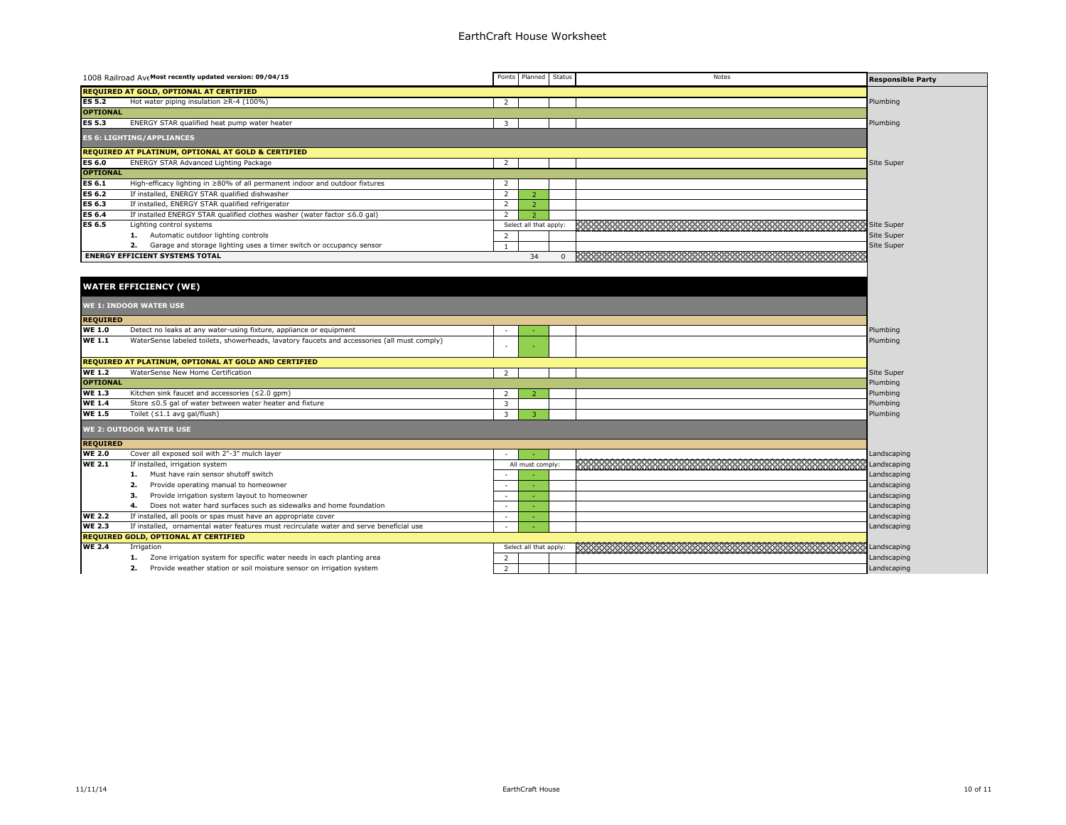|                                         | 1008 Railroad Ave Most recently updated version: 09/04/15                                   |                          | Points Planned         | Status | Notes | <b>Responsible Party</b> |  |
|-----------------------------------------|---------------------------------------------------------------------------------------------|--------------------------|------------------------|--------|-------|--------------------------|--|
| REQUIRED AT GOLD, OPTIONAL AT CERTIFIED |                                                                                             |                          |                        |        |       |                          |  |
| <b>ES 5.2</b>                           | Hot water piping insulation ≥R-4 (100%)                                                     | $\overline{2}$           |                        |        |       | Plumbing                 |  |
| <b>OPTIONAL</b>                         |                                                                                             |                          |                        |        |       |                          |  |
| <b>ES 5.3</b>                           | ENERGY STAR qualified heat pump water heater                                                | $\overline{3}$           |                        |        |       | Plumbing                 |  |
|                                         | <b>ES 6: LIGHTING/APPLIANCES</b>                                                            |                          |                        |        |       |                          |  |
|                                         | REQUIRED AT PLATINUM, OPTIONAL AT GOLD & CERTIFIED                                          |                          |                        |        |       |                          |  |
| <b>ES 6.0</b>                           | ENERGY STAR Advanced Lighting Package                                                       | $\overline{2}$           |                        |        |       | Site Super               |  |
| <b>OPTIONAL</b>                         |                                                                                             |                          |                        |        |       |                          |  |
| <b>ES 6.1</b>                           | High-efficacy lighting in ≥80% of all permanent indoor and outdoor fixtures                 | 2                        |                        |        |       |                          |  |
| <b>ES 6.2</b>                           | If installed, ENERGY STAR qualified dishwasher                                              | 2                        | $\overline{z}$         |        |       |                          |  |
| ES 6.3                                  | If installed, ENERGY STAR qualified refrigerator                                            | 2                        | $\overline{2}$         |        |       |                          |  |
| ES 6.4                                  | If installed ENERGY STAR qualified clothes washer (water factor ≤6.0 gal)                   | 2                        | $\overline{z}$         |        |       |                          |  |
| ES 6.5                                  | Lighting control systems                                                                    |                          | Select all that apply: |        |       | Site Super               |  |
|                                         | 1. Automatic outdoor lighting controls                                                      | 2                        |                        |        |       | Site Super               |  |
|                                         | 2. Garage and storage lighting uses a timer switch or occupancy sensor                      | $\mathbf{1}$             |                        |        |       | Site Super               |  |
|                                         | <b>ENERGY EFFICIENT SYSTEMS TOTAL</b>                                                       |                          | 34                     |        |       |                          |  |
|                                         |                                                                                             |                          |                        |        |       |                          |  |
|                                         |                                                                                             |                          |                        |        |       |                          |  |
|                                         | <b>WATER EFFICIENCY (WE)</b>                                                                |                          |                        |        |       |                          |  |
|                                         | <b>WE 1: INDOOR WATER USE</b>                                                               |                          |                        |        |       |                          |  |
| <b>REQUIRED</b>                         |                                                                                             |                          |                        |        |       |                          |  |
| <b>WE 1.0</b>                           | Detect no leaks at any water-using fixture, appliance or equipment                          | $\sim$                   |                        |        |       | Plumbing                 |  |
| <b>WE 1.1</b>                           | WaterSense labeled toilets, showerheads, lavatory faucets and accessories (all must comply) |                          |                        |        |       | Plumbing                 |  |
|                                         |                                                                                             |                          |                        |        |       |                          |  |
|                                         | REQUIRED AT PLATINUM, OPTIONAL AT GOLD AND CERTIFIED                                        |                          |                        |        |       |                          |  |
| <b>WE 1.2</b>                           | WaterSense New Home Certification                                                           | 2                        |                        |        |       | Site Super               |  |
| <b>OPTIONAL</b>                         |                                                                                             |                          |                        |        |       | Plumbing                 |  |
| <b>WE 1.3</b>                           | Kitchen sink faucet and accessories $(\leq 2.0$ gpm)                                        | 2                        |                        |        |       | Plumbing                 |  |
| <b>WE 1.4</b>                           | Store ≤0.5 gal of water between water heater and fixture                                    | 3                        |                        |        |       | Plumbing                 |  |
| <b>WE 1.5</b>                           | Toilet $( \leq 1.1$ avg gal/flush)                                                          | 3                        | 3                      |        |       | Plumbing                 |  |
| <b>WE 2: OUTDOOR WATER USE</b>          |                                                                                             |                          |                        |        |       |                          |  |
| <b>REQUIRED</b>                         |                                                                                             |                          |                        |        |       |                          |  |
| <b>WE 2.0</b>                           | Cover all exposed soil with 2"-3" mulch layer                                               |                          |                        |        |       | Landscaping              |  |
| <b>WE 2.1</b>                           | If installed, irrigation system                                                             |                          | All must comply:       |        |       | Landscaping              |  |
|                                         | Must have rain sensor shutoff switch<br>1.                                                  |                          |                        |        |       | Landscaping              |  |
|                                         | 2.<br>Provide operating manual to homeowner                                                 | - 2                      |                        |        |       | Landscaping              |  |
|                                         | Provide irrigation system layout to homeowner<br>з.                                         | $\sim$                   |                        |        |       | Landscaping              |  |
|                                         | Does not water hard surfaces such as sidewalks and home foundation<br>4.                    | $\sim$                   |                        |        |       | Landscaping              |  |
| <b>WE 2.2</b>                           | If installed, all pools or spas must have an appropriate cover                              | $\overline{\phantom{a}}$ |                        |        |       | Landscaping              |  |
| <b>WE 2.3</b>                           | If installed, ornamental water features must recirculate water and serve beneficial use     |                          |                        |        |       | Landscaping              |  |
|                                         | REQUIRED GOLD, OPTIONAL AT CERTIFIED                                                        |                          |                        |        |       |                          |  |
| <b>WE 2.4</b>                           | Irrigation                                                                                  |                          | Select all that apply: |        |       | Landscaping              |  |
|                                         | Zone irrigation system for specific water needs in each planting area<br>1.                 | $\overline{2}$           |                        |        |       | Landscaping              |  |
|                                         | 2.<br>Provide weather station or soil moisture sensor on irrigation system                  | 2                        |                        |        |       | Landscaping              |  |